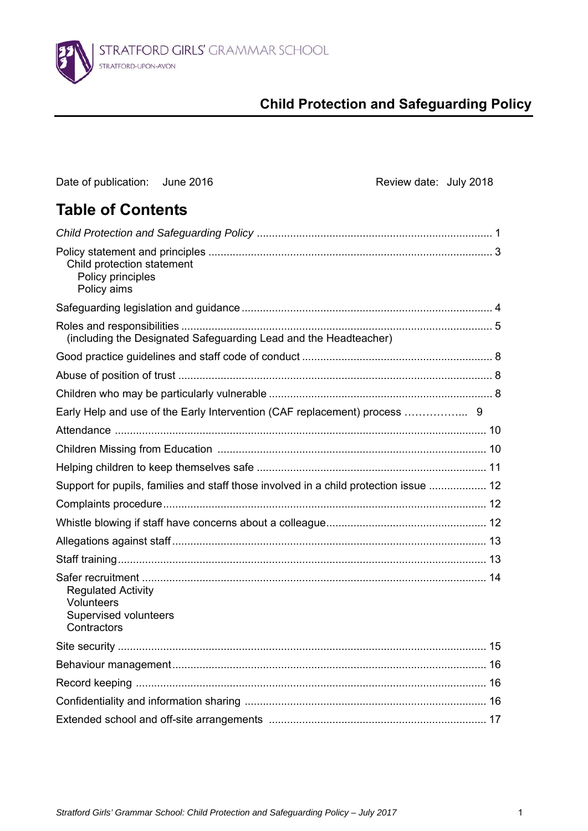

# **Child Protection and Safeguarding Policy**

| Date of publication: June 2016                                                         | Review date: July 2018                                                                |  |
|----------------------------------------------------------------------------------------|---------------------------------------------------------------------------------------|--|
| <b>Table of Contents</b>                                                               |                                                                                       |  |
|                                                                                        |                                                                                       |  |
| Child protection statement<br>Policy principles<br>Policy aims                         |                                                                                       |  |
|                                                                                        |                                                                                       |  |
|                                                                                        | (including the Designated Safeguarding Lead and the Headteacher)                      |  |
|                                                                                        |                                                                                       |  |
|                                                                                        |                                                                                       |  |
|                                                                                        |                                                                                       |  |
|                                                                                        | Early Help and use of the Early Intervention (CAF replacement) process  9             |  |
|                                                                                        |                                                                                       |  |
|                                                                                        |                                                                                       |  |
|                                                                                        |                                                                                       |  |
|                                                                                        | Support for pupils, families and staff those involved in a child protection issue  12 |  |
|                                                                                        |                                                                                       |  |
|                                                                                        |                                                                                       |  |
|                                                                                        |                                                                                       |  |
|                                                                                        |                                                                                       |  |
| <b>Regulated Activity</b><br><b>Volunteers</b><br>Supervised volunteers<br>Contractors |                                                                                       |  |
|                                                                                        |                                                                                       |  |
|                                                                                        |                                                                                       |  |
|                                                                                        |                                                                                       |  |
|                                                                                        |                                                                                       |  |
|                                                                                        |                                                                                       |  |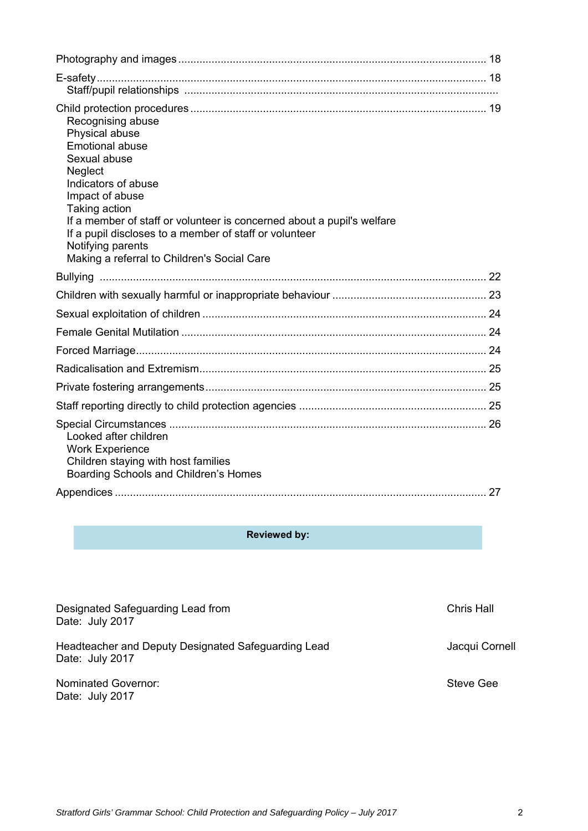| Recognising abuse<br>Physical abuse<br><b>Emotional abuse</b><br>Sexual abuse<br>Neglect<br>Indicators of abuse<br>Impact of abuse<br>Taking action<br>If a member of staff or volunteer is concerned about a pupil's welfare<br>If a pupil discloses to a member of staff or volunteer<br>Notifying parents<br>Making a referral to Children's Social Care |  |
|-------------------------------------------------------------------------------------------------------------------------------------------------------------------------------------------------------------------------------------------------------------------------------------------------------------------------------------------------------------|--|
|                                                                                                                                                                                                                                                                                                                                                             |  |
|                                                                                                                                                                                                                                                                                                                                                             |  |
|                                                                                                                                                                                                                                                                                                                                                             |  |
|                                                                                                                                                                                                                                                                                                                                                             |  |
|                                                                                                                                                                                                                                                                                                                                                             |  |
|                                                                                                                                                                                                                                                                                                                                                             |  |
|                                                                                                                                                                                                                                                                                                                                                             |  |
|                                                                                                                                                                                                                                                                                                                                                             |  |
| Looked after children<br><b>Work Experience</b><br>Children staying with host families<br>Boarding Schools and Children's Homes                                                                                                                                                                                                                             |  |
|                                                                                                                                                                                                                                                                                                                                                             |  |

## **Reviewed by:**

| Designated Safeguarding Lead from<br>Date: July 2017                   | <b>Chris Hall</b> |
|------------------------------------------------------------------------|-------------------|
| Headteacher and Deputy Designated Safeguarding Lead<br>Date: July 2017 | Jacqui Cornell    |
| Nominated Governor:<br>Date: July 2017                                 | Steve Gee         |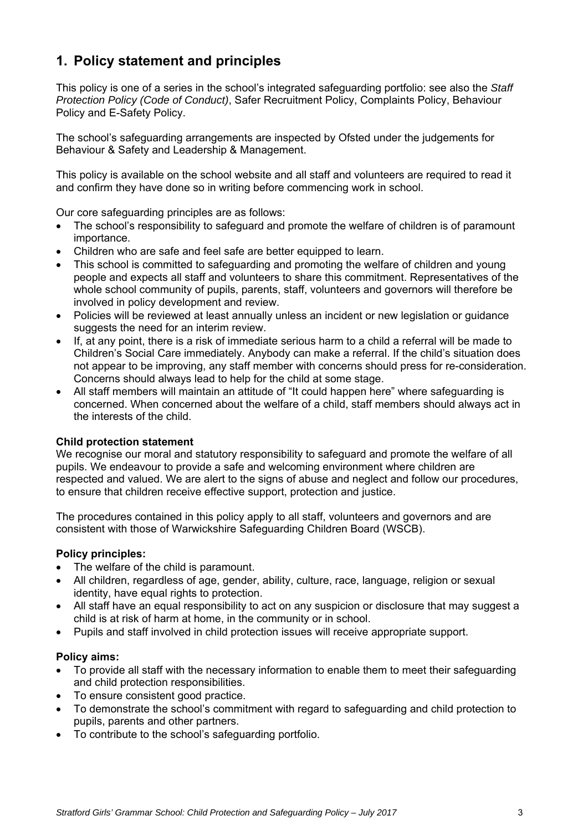# **1. Policy statement and principles**

This policy is one of a series in the school's integrated safeguarding portfolio: see also the *Staff Protection Policy (Code of Conduct)*, Safer Recruitment Policy, Complaints Policy, Behaviour Policy and E-Safety Policy.

The school's safeguarding arrangements are inspected by Ofsted under the judgements for Behaviour & Safety and Leadership & Management.

This policy is available on the school website and all staff and volunteers are required to read it and confirm they have done so in writing before commencing work in school.

Our core safeguarding principles are as follows:

- The school's responsibility to safeguard and promote the welfare of children is of paramount importance.
- Children who are safe and feel safe are better equipped to learn.
- This school is committed to safeguarding and promoting the welfare of children and young people and expects all staff and volunteers to share this commitment. Representatives of the whole school community of pupils, parents, staff, volunteers and governors will therefore be involved in policy development and review.
- Policies will be reviewed at least annually unless an incident or new legislation or guidance suggests the need for an interim review.
- If, at any point, there is a risk of immediate serious harm to a child a referral will be made to Children's Social Care immediately. Anybody can make a referral. If the child's situation does not appear to be improving, any staff member with concerns should press for re-consideration. Concerns should always lead to help for the child at some stage.
- All staff members will maintain an attitude of "It could happen here" where safeguarding is concerned. When concerned about the welfare of a child, staff members should always act in the interests of the child.

#### **Child protection statement**

We recognise our moral and statutory responsibility to safeguard and promote the welfare of all pupils. We endeavour to provide a safe and welcoming environment where children are respected and valued. We are alert to the signs of abuse and neglect and follow our procedures, to ensure that children receive effective support, protection and justice.

The procedures contained in this policy apply to all staff, volunteers and governors and are consistent with those of Warwickshire Safeguarding Children Board (WSCB).

#### **Policy principles:**

- The welfare of the child is paramount.
- All children, regardless of age, gender, ability, culture, race, language, religion or sexual identity, have equal rights to protection.
- All staff have an equal responsibility to act on any suspicion or disclosure that may suggest a child is at risk of harm at home, in the community or in school.
- Pupils and staff involved in child protection issues will receive appropriate support.

#### **Policy aims:**

- To provide all staff with the necessary information to enable them to meet their safeguarding and child protection responsibilities.
- To ensure consistent good practice.
- To demonstrate the school's commitment with regard to safeguarding and child protection to pupils, parents and other partners.
- To contribute to the school's safeguarding portfolio.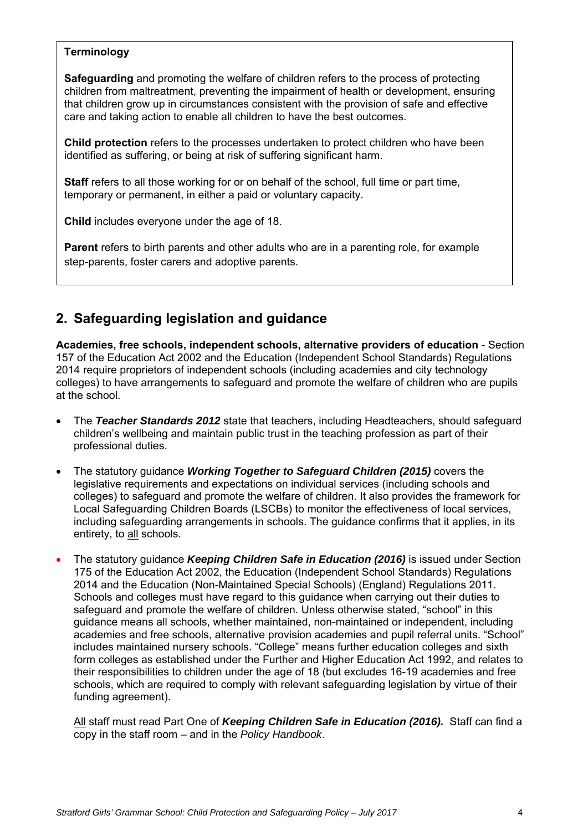### **Terminology**

**Safeguarding** and promoting the welfare of children refers to the process of protecting children from maltreatment, preventing the impairment of health or development, ensuring that children grow up in circumstances consistent with the provision of safe and effective care and taking action to enable all children to have the best outcomes.

**Child protection** refers to the processes undertaken to protect children who have been identified as suffering, or being at risk of suffering significant harm.

**Staff** refers to all those working for or on behalf of the school, full time or part time, temporary or permanent, in either a paid or voluntary capacity.

**Child** includes everyone under the age of 18.

**Parent** refers to birth parents and other adults who are in a parenting role, for example step-parents, foster carers and adoptive parents.

# **2. Safeguarding legislation and guidance**

**Academies, free schools, independent schools, alternative providers of education** - Section 157 of the Education Act 2002 and the Education (Independent School Standards) Regulations 2014 require proprietors of independent schools (including academies and city technology colleges) to have arrangements to safeguard and promote the welfare of children who are pupils at the school.

- The *Teacher Standards 2012* state that teachers, including Headteachers, should safeguard children's wellbeing and maintain public trust in the teaching profession as part of their professional duties.
- The statutory guidance *Working Together to Safeguard Children (2015)* covers the legislative requirements and expectations on individual services (including schools and colleges) to safeguard and promote the welfare of children. It also provides the framework for Local Safeguarding Children Boards (LSCBs) to monitor the effectiveness of local services, including safeguarding arrangements in schools. The guidance confirms that it applies, in its entirety, to all schools.
- The statutory guidance *Keeping Children Safe in Education (2016)* is issued under Section 175 of the Education Act 2002, the Education (Independent School Standards) Regulations 2014 and the Education (Non-Maintained Special Schools) (England) Regulations 2011. Schools and colleges must have regard to this guidance when carrying out their duties to safeguard and promote the welfare of children. Unless otherwise stated, "school" in this guidance means all schools, whether maintained, non-maintained or independent, including academies and free schools, alternative provision academies and pupil referral units. "School" includes maintained nursery schools. "College" means further education colleges and sixth form colleges as established under the Further and Higher Education Act 1992, and relates to their responsibilities to children under the age of 18 (but excludes 16-19 academies and free schools, which are required to comply with relevant safeguarding legislation by virtue of their funding agreement).

All staff must read Part One of *Keeping Children Safe in Education (2016).*Staff can find a copy in the staff room – and in the *Policy Handbook*.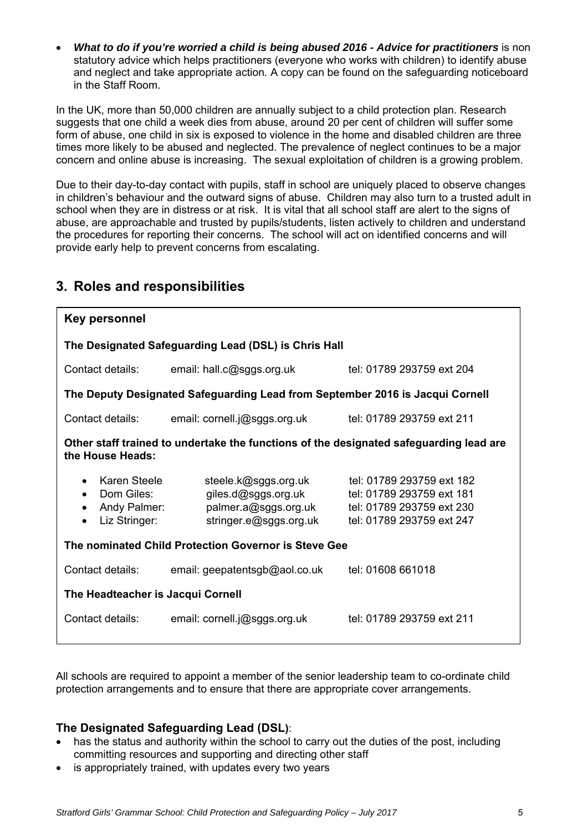*What to do if you're worried a child is being abused 2016 - Advice for practitioners* is non statutory advice which helps practitioners (everyone who works with children) to identify abuse and neglect and take appropriate action*.* A copy can be found on the safeguarding noticeboard in the Staff Room.

In the UK, more than 50,000 children are annually subject to a child protection plan. Research suggests that one child a week dies from abuse, around 20 per cent of children will suffer some form of abuse, one child in six is exposed to violence in the home and disabled children are three times more likely to be abused and neglected. The prevalence of neglect continues to be a major concern and online abuse is increasing. The sexual exploitation of children is a growing problem.

Due to their day-to-day contact with pupils, staff in school are uniquely placed to observe changes in children's behaviour and the outward signs of abuse. Children may also turn to a trusted adult in school when they are in distress or at risk. It is vital that all school staff are alert to the signs of abuse, are approachable and trusted by pupils/students, listen actively to children and understand the procedures for reporting their concerns. The school will act on identified concerns and will provide early help to prevent concerns from escalating.

| Key personnel                                                                                              |                                                                                               |                                                                                                                  |  |  |  |
|------------------------------------------------------------------------------------------------------------|-----------------------------------------------------------------------------------------------|------------------------------------------------------------------------------------------------------------------|--|--|--|
| The Designated Safeguarding Lead (DSL) is Chris Hall                                                       |                                                                                               |                                                                                                                  |  |  |  |
| Contact details:                                                                                           | email: hall.c@sggs.org.uk                                                                     | tel: 01789 293759 ext 204                                                                                        |  |  |  |
| The Deputy Designated Safeguarding Lead from September 2016 is Jacqui Cornell                              |                                                                                               |                                                                                                                  |  |  |  |
| Contact details:                                                                                           | email: cornell.j@sggs.org.uk                                                                  | tel: 01789 293759 ext 211                                                                                        |  |  |  |
| Other staff trained to undertake the functions of the designated safeguarding lead are<br>the House Heads: |                                                                                               |                                                                                                                  |  |  |  |
| Karen Steele<br>Dom Giles:<br>Andy Palmer:<br>Liz Stringer:<br>$\bullet$                                   | steele.k@sggs.org.uk<br>giles.d@sggs.org.uk<br>palmer.a@sggs.org.uk<br>stringer.e@sggs.org.uk | tel: 01789 293759 ext 182<br>tel: 01789 293759 ext 181<br>tel: 01789 293759 ext 230<br>tel: 01789 293759 ext 247 |  |  |  |
| The nominated Child Protection Governor is Steve Gee                                                       |                                                                                               |                                                                                                                  |  |  |  |
| Contact details:                                                                                           | email: geepatentsgb@aol.co.uk                                                                 | tel: 01608 661018                                                                                                |  |  |  |
| The Headteacher is Jacqui Cornell                                                                          |                                                                                               |                                                                                                                  |  |  |  |
| Contact details:                                                                                           | email: cornell.j@sggs.org.uk                                                                  | tel: 01789 293759 ext 211                                                                                        |  |  |  |

# **3. Roles and responsibilities**

All schools are required to appoint a member of the senior leadership team to co-ordinate child protection arrangements and to ensure that there are appropriate cover arrangements.

### **The Designated Safeguarding Lead (DSL)**:

- has the status and authority within the school to carry out the duties of the post, including committing resources and supporting and directing other staff
- is appropriately trained, with updates every two years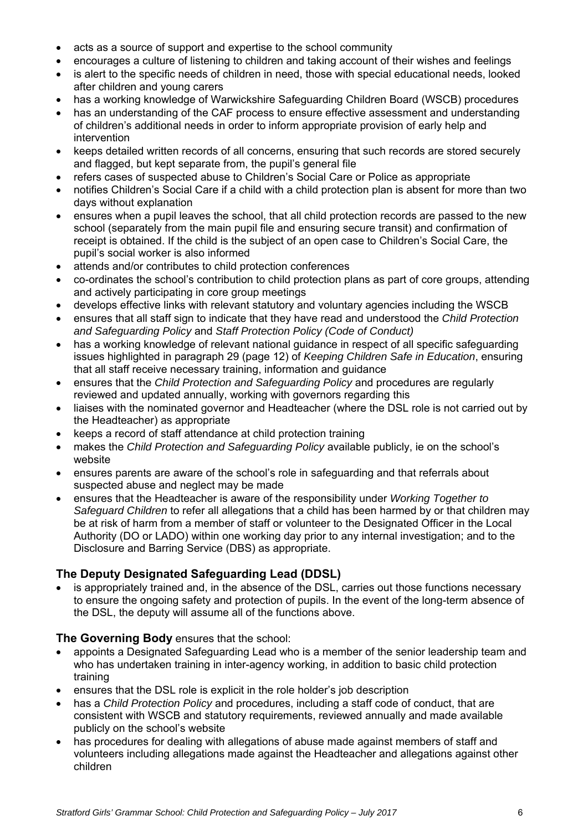- acts as a source of support and expertise to the school community
- encourages a culture of listening to children and taking account of their wishes and feelings
- is alert to the specific needs of children in need, those with special educational needs, looked after children and young carers
- has a working knowledge of Warwickshire Safeguarding Children Board (WSCB) procedures
- has an understanding of the CAF process to ensure effective assessment and understanding of children's additional needs in order to inform appropriate provision of early help and intervention
- keeps detailed written records of all concerns, ensuring that such records are stored securely and flagged, but kept separate from, the pupil's general file
- refers cases of suspected abuse to Children's Social Care or Police as appropriate
- notifies Children's Social Care if a child with a child protection plan is absent for more than two days without explanation
- ensures when a pupil leaves the school, that all child protection records are passed to the new school (separately from the main pupil file and ensuring secure transit) and confirmation of receipt is obtained. If the child is the subject of an open case to Children's Social Care, the pupil's social worker is also informed
- attends and/or contributes to child protection conferences
- co-ordinates the school's contribution to child protection plans as part of core groups, attending and actively participating in core group meetings
- develops effective links with relevant statutory and voluntary agencies including the WSCB
- ensures that all staff sign to indicate that they have read and understood the *Child Protection and Safeguarding Policy* and *Staff Protection Policy (Code of Conduct)*
- has a working knowledge of relevant national guidance in respect of all specific safeguarding issues highlighted in paragraph 29 (page 12) of *Keeping Children Safe in Education*, ensuring that all staff receive necessary training, information and guidance
- ensures that the *Child Protection and Safeguarding Policy* and procedures are regularly reviewed and updated annually, working with governors regarding this
- liaises with the nominated governor and Headteacher (where the DSL role is not carried out by the Headteacher) as appropriate
- keeps a record of staff attendance at child protection training
- makes the *Child Protection and Safeguarding Policy* available publicly, ie on the school's website
- ensures parents are aware of the school's role in safeguarding and that referrals about suspected abuse and neglect may be made
- ensures that the Headteacher is aware of the responsibility under *Working Together to Safeguard Children* to refer all allegations that a child has been harmed by or that children may be at risk of harm from a member of staff or volunteer to the Designated Officer in the Local Authority (DO or LADO) within one working day prior to any internal investigation; and to the Disclosure and Barring Service (DBS) as appropriate.

### **The Deputy Designated Safeguarding Lead (DDSL)**

• is appropriately trained and, in the absence of the DSL, carries out those functions necessary to ensure the ongoing safety and protection of pupils. In the event of the long-term absence of the DSL, the deputy will assume all of the functions above.

### **The Governing Body** ensures that the school:

- appoints a Designated Safeguarding Lead who is a member of the senior leadership team and who has undertaken training in inter-agency working, in addition to basic child protection training
- ensures that the DSL role is explicit in the role holder's job description
- has a *Child Protection Policy* and procedures, including a staff code of conduct, that are consistent with WSCB and statutory requirements, reviewed annually and made available publicly on the school's website
- has procedures for dealing with allegations of abuse made against members of staff and volunteers including allegations made against the Headteacher and allegations against other children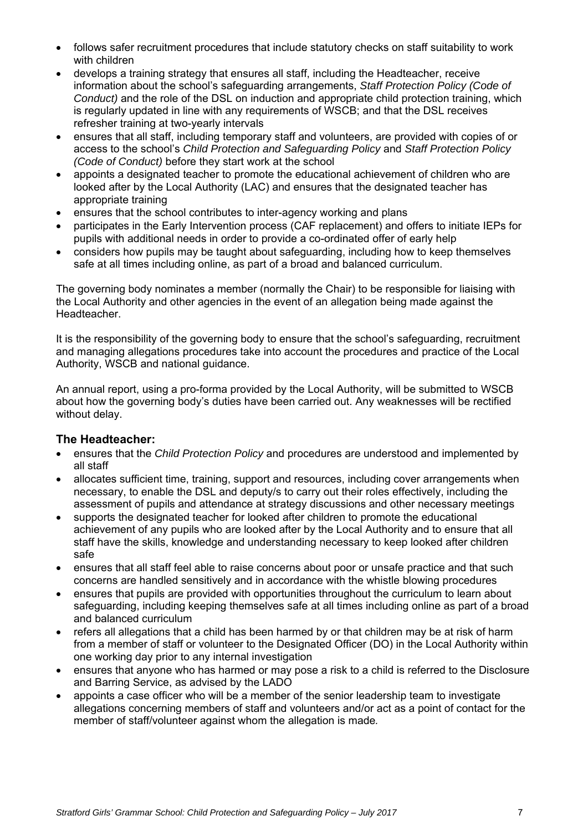- follows safer recruitment procedures that include statutory checks on staff suitability to work with children
- develops a training strategy that ensures all staff, including the Headteacher, receive information about the school's safeguarding arrangements, *Staff Protection Policy (Code of Conduct)* and the role of the DSL on induction and appropriate child protection training, which is regularly updated in line with any requirements of WSCB; and that the DSL receives refresher training at two-yearly intervals
- ensures that all staff, including temporary staff and volunteers, are provided with copies of or access to the school's *Child Protection and Safeguarding Policy* and *Staff Protection Policy (Code of Conduct)* before they start work at the school
- appoints a designated teacher to promote the educational achievement of children who are looked after by the Local Authority (LAC) and ensures that the designated teacher has appropriate training
- ensures that the school contributes to inter-agency working and plans
- participates in the Early Intervention process (CAF replacement) and offers to initiate IEPs for pupils with additional needs in order to provide a co-ordinated offer of early help
- considers how pupils may be taught about safeguarding, including how to keep themselves safe at all times including online, as part of a broad and balanced curriculum.

The governing body nominates a member (normally the Chair) to be responsible for liaising with the Local Authority and other agencies in the event of an allegation being made against the Headteacher.

It is the responsibility of the governing body to ensure that the school's safeguarding, recruitment and managing allegations procedures take into account the procedures and practice of the Local Authority, WSCB and national guidance.

An annual report, using a pro-forma provided by the Local Authority, will be submitted to WSCB about how the governing body's duties have been carried out. Any weaknesses will be rectified without delay.

### **The Headteacher:**

- ensures that the *Child Protection Policy* and procedures are understood and implemented by all staff
- allocates sufficient time, training, support and resources, including cover arrangements when necessary, to enable the DSL and deputy/s to carry out their roles effectively, including the assessment of pupils and attendance at strategy discussions and other necessary meetings
- supports the designated teacher for looked after children to promote the educational achievement of any pupils who are looked after by the Local Authority and to ensure that all staff have the skills, knowledge and understanding necessary to keep looked after children safe
- ensures that all staff feel able to raise concerns about poor or unsafe practice and that such concerns are handled sensitively and in accordance with the whistle blowing procedures
- ensures that pupils are provided with opportunities throughout the curriculum to learn about safeguarding, including keeping themselves safe at all times including online as part of a broad and balanced curriculum
- refers all allegations that a child has been harmed by or that children may be at risk of harm from a member of staff or volunteer to the Designated Officer (DO) in the Local Authority within one working day prior to any internal investigation
- ensures that anyone who has harmed or may pose a risk to a child is referred to the Disclosure and Barring Service, as advised by the LADO
- appoints a case officer who will be a member of the senior leadership team to investigate allegations concerning members of staff and volunteers and/or act as a point of contact for the member of staff/volunteer against whom the allegation is made*.*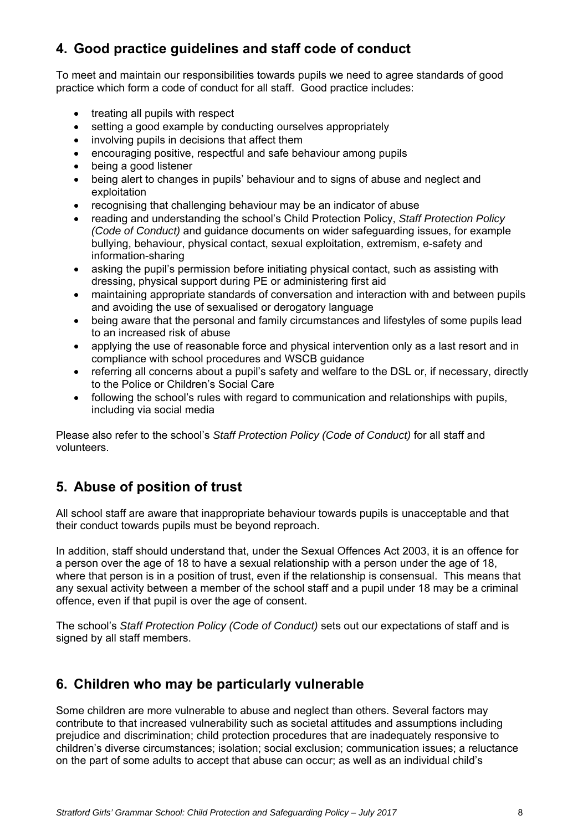# **4. Good practice guidelines and staff code of conduct**

To meet and maintain our responsibilities towards pupils we need to agree standards of good practice which form a code of conduct for all staff. Good practice includes:

- treating all pupils with respect
- setting a good example by conducting ourselves appropriately
- involving pupils in decisions that affect them
- encouraging positive, respectful and safe behaviour among pupils
- being a good listener
- being alert to changes in pupils' behaviour and to signs of abuse and neglect and exploitation
- recognising that challenging behaviour may be an indicator of abuse
- reading and understanding the school's Child Protection Policy, *Staff Protection Policy (Code of Conduct)* and guidance documents on wider safeguarding issues, for example bullying, behaviour, physical contact, sexual exploitation, extremism, e-safety and information-sharing
- asking the pupil's permission before initiating physical contact, such as assisting with dressing, physical support during PE or administering first aid
- maintaining appropriate standards of conversation and interaction with and between pupils and avoiding the use of sexualised or derogatory language
- being aware that the personal and family circumstances and lifestyles of some pupils lead to an increased risk of abuse
- applying the use of reasonable force and physical intervention only as a last resort and in compliance with school procedures and WSCB guidance
- referring all concerns about a pupil's safety and welfare to the DSL or, if necessary, directly to the Police or Children's Social Care
- following the school's rules with regard to communication and relationships with pupils, including via social media

Please also refer to the school's *Staff Protection Policy (Code of Conduct)* for all staff and volunteers.

# **5. Abuse of position of trust**

All school staff are aware that inappropriate behaviour towards pupils is unacceptable and that their conduct towards pupils must be beyond reproach.

In addition, staff should understand that, under the Sexual Offences Act 2003, it is an offence for a person over the age of 18 to have a sexual relationship with a person under the age of 18, where that person is in a position of trust, even if the relationship is consensual. This means that any sexual activity between a member of the school staff and a pupil under 18 may be a criminal offence, even if that pupil is over the age of consent.

The school's *Staff Protection Policy (Code of Conduct)* sets out our expectations of staff and is signed by all staff members.

# **6. Children who may be particularly vulnerable**

Some children are more vulnerable to abuse and neglect than others. Several factors may contribute to that increased vulnerability such as societal attitudes and assumptions including prejudice and discrimination; child protection procedures that are inadequately responsive to children's diverse circumstances; isolation; social exclusion; communication issues; a reluctance on the part of some adults to accept that abuse can occur; as well as an individual child's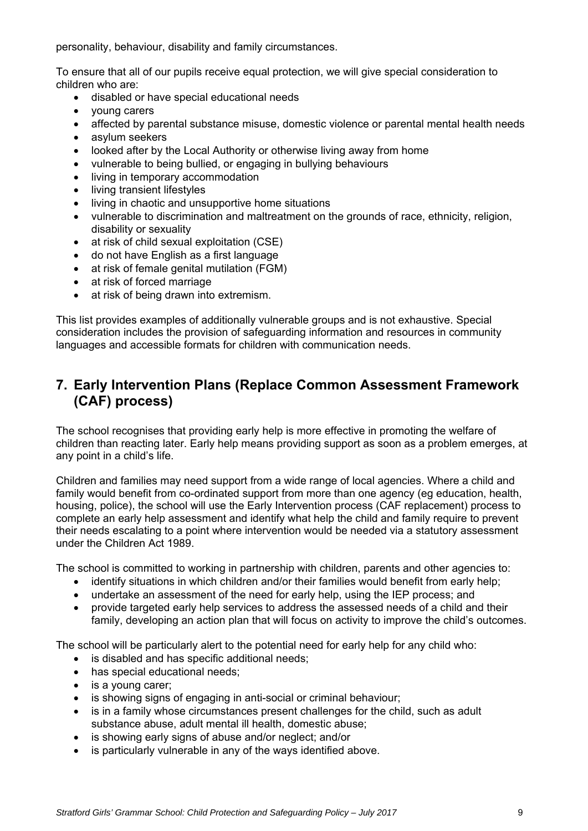personality, behaviour, disability and family circumstances.

To ensure that all of our pupils receive equal protection, we will give special consideration to children who are:

- disabled or have special educational needs
- young carers
- affected by parental substance misuse, domestic violence or parental mental health needs
- asylum seekers
- looked after by the Local Authority or otherwise living away from home
- vulnerable to being bullied, or engaging in bullying behaviours
- living in temporary accommodation
- living transient lifestyles
- living in chaotic and unsupportive home situations
- vulnerable to discrimination and maltreatment on the grounds of race, ethnicity, religion, disability or sexuality
- at risk of child sexual exploitation (CSE)
- do not have English as a first language
- at risk of female genital mutilation (FGM)
- at risk of forced marriage
- at risk of being drawn into extremism.

This list provides examples of additionally vulnerable groups and is not exhaustive. Special consideration includes the provision of safeguarding information and resources in community languages and accessible formats for children with communication needs.

## **7. Early Intervention Plans (Replace Common Assessment Framework (CAF) process)**

The school recognises that providing early help is more effective in promoting the welfare of children than reacting later. Early help means providing support as soon as a problem emerges, at any point in a child's life.

Children and families may need support from a wide range of local agencies. Where a child and family would benefit from co-ordinated support from more than one agency (eg education, health, housing, police), the school will use the Early Intervention process (CAF replacement) process to complete an early help assessment and identify what help the child and family require to prevent their needs escalating to a point where intervention would be needed via a statutory assessment under the Children Act 1989.

The school is committed to working in partnership with children, parents and other agencies to:

- identify situations in which children and/or their families would benefit from early help;
- undertake an assessment of the need for early help, using the IEP process; and
- provide targeted early help services to address the assessed needs of a child and their family, developing an action plan that will focus on activity to improve the child's outcomes.

The school will be particularly alert to the potential need for early help for any child who:

- is disabled and has specific additional needs;
- has special educational needs;
- is a young carer;
- is showing signs of engaging in anti-social or criminal behaviour;
- is in a family whose circumstances present challenges for the child, such as adult substance abuse, adult mental ill health, domestic abuse;
- is showing early signs of abuse and/or neglect; and/or
- is particularly vulnerable in any of the ways identified above.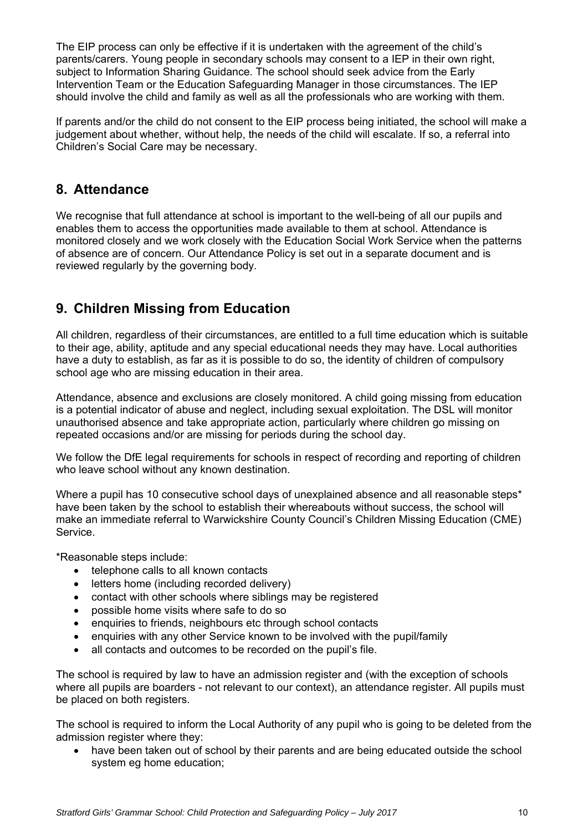The EIP process can only be effective if it is undertaken with the agreement of the child's parents/carers. Young people in secondary schools may consent to a IEP in their own right, subject to Information Sharing Guidance. The school should seek advice from the Early Intervention Team or the Education Safeguarding Manager in those circumstances. The IEP should involve the child and family as well as all the professionals who are working with them.

If parents and/or the child do not consent to the EIP process being initiated, the school will make a judgement about whether, without help, the needs of the child will escalate. If so, a referral into Children's Social Care may be necessary.

## **8. Attendance**

We recognise that full attendance at school is important to the well-being of all our pupils and enables them to access the opportunities made available to them at school. Attendance is monitored closely and we work closely with the Education Social Work Service when the patterns of absence are of concern. Our Attendance Policy is set out in a separate document and is reviewed regularly by the governing body.

# **9. Children Missing from Education**

All children, regardless of their circumstances, are entitled to a full time education which is suitable to their age, ability, aptitude and any special educational needs they may have. Local authorities have a duty to establish, as far as it is possible to do so, the identity of children of compulsory school age who are missing education in their area.

Attendance, absence and exclusions are closely monitored. A child going missing from education is a potential indicator of abuse and neglect, including sexual exploitation. The DSL will monitor unauthorised absence and take appropriate action, particularly where children go missing on repeated occasions and/or are missing for periods during the school day.

We follow the DfE legal requirements for schools in respect of recording and reporting of children who leave school without any known destination.

Where a pupil has 10 consecutive school days of unexplained absence and all reasonable steps\* have been taken by the school to establish their whereabouts without success, the school will make an immediate referral to Warwickshire County Council's Children Missing Education (CME) Service.

\*Reasonable steps include:

- telephone calls to all known contacts
- letters home (including recorded delivery)
- contact with other schools where siblings may be registered
- possible home visits where safe to do so
- enquiries to friends, neighbours etc through school contacts
- enquiries with any other Service known to be involved with the pupil/family
- all contacts and outcomes to be recorded on the pupil's file.

The school is required by law to have an admission register and (with the exception of schools where all pupils are boarders - not relevant to our context), an attendance register. All pupils must be placed on both registers.

The school is required to inform the Local Authority of any pupil who is going to be deleted from the admission register where they:

 have been taken out of school by their parents and are being educated outside the school system eg home education;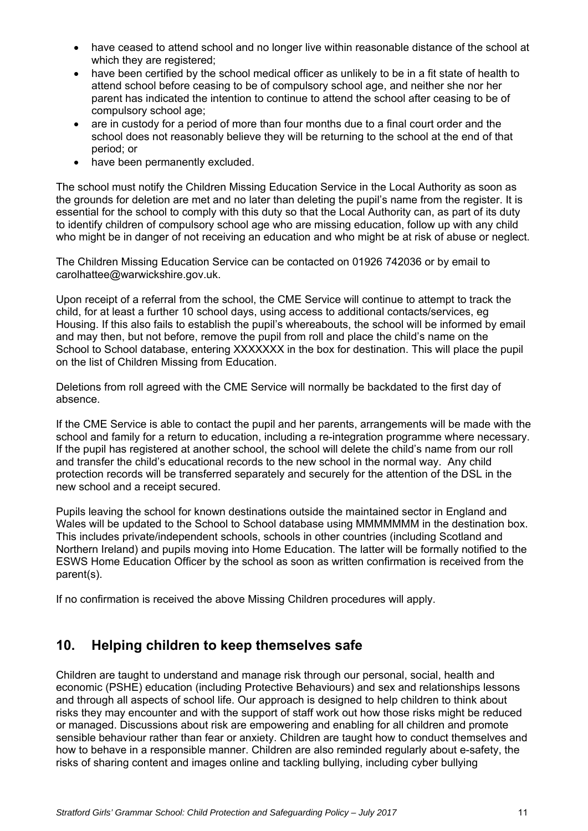- have ceased to attend school and no longer live within reasonable distance of the school at which they are registered;
- have been certified by the school medical officer as unlikely to be in a fit state of health to attend school before ceasing to be of compulsory school age, and neither she nor her parent has indicated the intention to continue to attend the school after ceasing to be of compulsory school age;
- are in custody for a period of more than four months due to a final court order and the school does not reasonably believe they will be returning to the school at the end of that period; or
- have been permanently excluded.

The school must notify the Children Missing Education Service in the Local Authority as soon as the grounds for deletion are met and no later than deleting the pupil's name from the register. It is essential for the school to comply with this duty so that the Local Authority can, as part of its duty to identify children of compulsory school age who are missing education, follow up with any child who might be in danger of not receiving an education and who might be at risk of abuse or neglect.

The Children Missing Education Service can be contacted on 01926 742036 or by email to carolhattee@warwickshire.gov.uk.

Upon receipt of a referral from the school, the CME Service will continue to attempt to track the child, for at least a further 10 school days, using access to additional contacts/services, eg Housing. If this also fails to establish the pupil's whereabouts, the school will be informed by email and may then, but not before, remove the pupil from roll and place the child's name on the School to School database, entering XXXXXXX in the box for destination. This will place the pupil on the list of Children Missing from Education.

Deletions from roll agreed with the CME Service will normally be backdated to the first day of absence.

If the CME Service is able to contact the pupil and her parents, arrangements will be made with the school and family for a return to education, including a re-integration programme where necessary. If the pupil has registered at another school, the school will delete the child's name from our roll and transfer the child's educational records to the new school in the normal way. Any child protection records will be transferred separately and securely for the attention of the DSL in the new school and a receipt secured.

Pupils leaving the school for known destinations outside the maintained sector in England and Wales will be updated to the School to School database using MMMMMMM in the destination box. This includes private/independent schools, schools in other countries (including Scotland and Northern Ireland) and pupils moving into Home Education. The latter will be formally notified to the ESWS Home Education Officer by the school as soon as written confirmation is received from the parent(s).

If no confirmation is received the above Missing Children procedures will apply.

## **10. Helping children to keep themselves safe**

Children are taught to understand and manage risk through our personal, social, health and economic (PSHE) education (including Protective Behaviours) and sex and relationships lessons and through all aspects of school life. Our approach is designed to help children to think about risks they may encounter and with the support of staff work out how those risks might be reduced or managed. Discussions about risk are empowering and enabling for all children and promote sensible behaviour rather than fear or anxiety. Children are taught how to conduct themselves and how to behave in a responsible manner. Children are also reminded regularly about e-safety, the risks of sharing content and images online and tackling bullying, including cyber bullying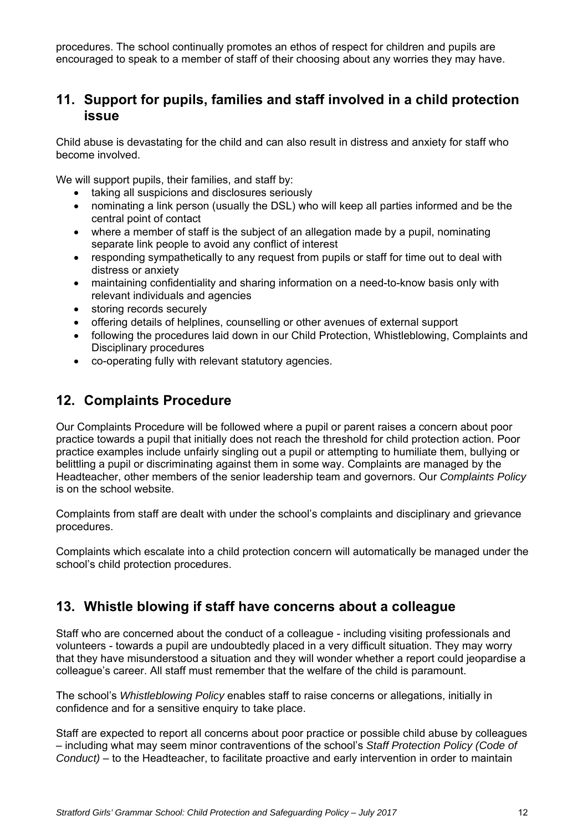procedures. The school continually promotes an ethos of respect for children and pupils are encouraged to speak to a member of staff of their choosing about any worries they may have.

## **11. Support for pupils, families and staff involved in a child protection issue**

Child abuse is devastating for the child and can also result in distress and anxiety for staff who become involved.

We will support pupils, their families, and staff by:

- taking all suspicions and disclosures seriously
- nominating a link person (usually the DSL) who will keep all parties informed and be the central point of contact
- where a member of staff is the subject of an allegation made by a pupil, nominating separate link people to avoid any conflict of interest
- responding sympathetically to any request from pupils or staff for time out to deal with distress or anxiety
- maintaining confidentiality and sharing information on a need-to-know basis only with relevant individuals and agencies
- storing records securely
- offering details of helplines, counselling or other avenues of external support
- following the procedures laid down in our Child Protection, Whistleblowing, Complaints and Disciplinary procedures
- co-operating fully with relevant statutory agencies.

## **12. Complaints Procedure**

Our Complaints Procedure will be followed where a pupil or parent raises a concern about poor practice towards a pupil that initially does not reach the threshold for child protection action. Poor practice examples include unfairly singling out a pupil or attempting to humiliate them, bullying or belittling a pupil or discriminating against them in some way. Complaints are managed by the Headteacher, other members of the senior leadership team and governors. Our *Complaints Policy* is on the school website.

Complaints from staff are dealt with under the school's complaints and disciplinary and grievance procedures.

Complaints which escalate into a child protection concern will automatically be managed under the school's child protection procedures.

## **13. Whistle blowing if staff have concerns about a colleague**

Staff who are concerned about the conduct of a colleague - including visiting professionals and volunteers - towards a pupil are undoubtedly placed in a very difficult situation. They may worry that they have misunderstood a situation and they will wonder whether a report could jeopardise a colleague's career. All staff must remember that the welfare of the child is paramount.

The school's *Whistleblowing Policy* enables staff to raise concerns or allegations, initially in confidence and for a sensitive enquiry to take place.

Staff are expected to report all concerns about poor practice or possible child abuse by colleagues – including what may seem minor contraventions of the school's *Staff Protection Policy (Code of Conduct)* – to the Headteacher, to facilitate proactive and early intervention in order to maintain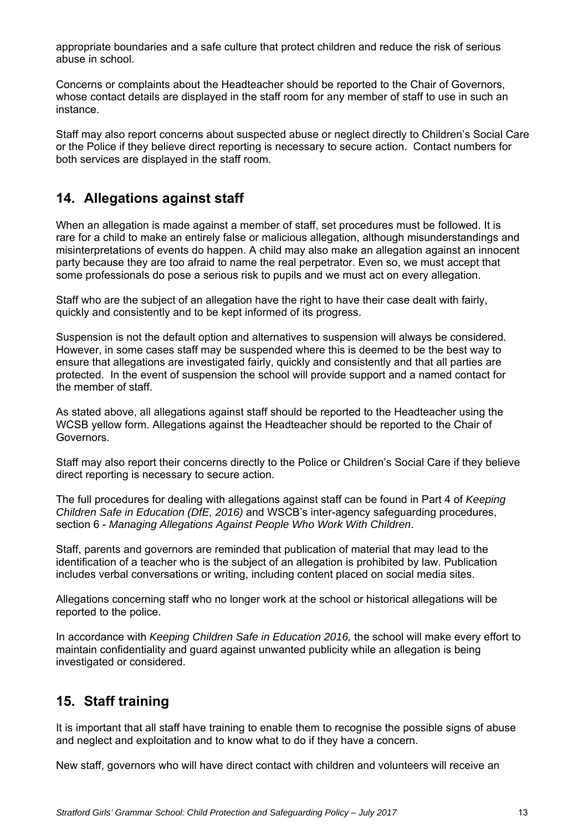appropriate boundaries and a safe culture that protect children and reduce the risk of serious abuse in school.

Concerns or complaints about the Headteacher should be reported to the Chair of Governors, whose contact details are displayed in the staff room for any member of staff to use in such an instance.

Staff may also report concerns about suspected abuse or neglect directly to Children's Social Care or the Police if they believe direct reporting is necessary to secure action. Contact numbers for both services are displayed in the staff room.

## **14. Allegations against staff**

When an allegation is made against a member of staff, set procedures must be followed. It is rare for a child to make an entirely false or malicious allegation, although misunderstandings and misinterpretations of events do happen. A child may also make an allegation against an innocent party because they are too afraid to name the real perpetrator. Even so, we must accept that some professionals do pose a serious risk to pupils and we must act on every allegation.

Staff who are the subject of an allegation have the right to have their case dealt with fairly, quickly and consistently and to be kept informed of its progress.

Suspension is not the default option and alternatives to suspension will always be considered. However, in some cases staff may be suspended where this is deemed to be the best way to ensure that allegations are investigated fairly, quickly and consistently and that all parties are protected. In the event of suspension the school will provide support and a named contact for the member of staff.

As stated above, all allegations against staff should be reported to the Headteacher using the WCSB yellow form. Allegations against the Headteacher should be reported to the Chair of Governors.

Staff may also report their concerns directly to the Police or Children's Social Care if they believe direct reporting is necessary to secure action.

The full procedures for dealing with allegations against staff can be found in Part 4 of *Keeping Children Safe in Education (DfE, 2016)* and WSCB's inter-agency safeguarding procedures, section 6 - *Managing Allegations Against People Who Work With Children*.

Staff, parents and governors are reminded that publication of material that may lead to the identification of a teacher who is the subject of an allegation is prohibited by law. Publication includes verbal conversations or writing, including content placed on social media sites.

Allegations concerning staff who no longer work at the school or historical allegations will be reported to the police.

In accordance with *Keeping Children Safe in Education 2016,* the school will make every effort to maintain confidentiality and guard against unwanted publicity while an allegation is being investigated or considered.

## **15. Staff training**

It is important that all staff have training to enable them to recognise the possible signs of abuse and neglect and exploitation and to know what to do if they have a concern.

New staff, governors who will have direct contact with children and volunteers will receive an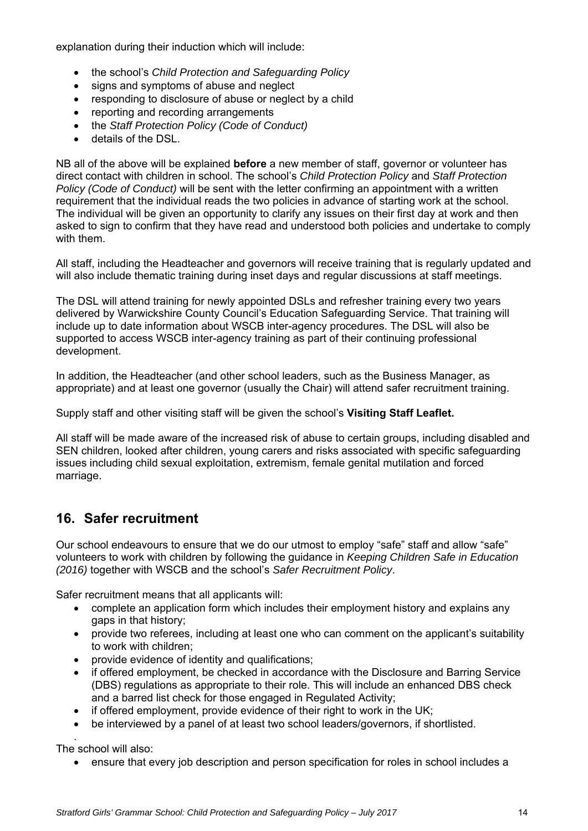explanation during their induction which will include:

- the school's *Child Protection and Safeguarding Policy*
- signs and symptoms of abuse and neglect
- responding to disclosure of abuse or neglect by a child
- reporting and recording arrangements
- the *Staff Protection Policy (Code of Conduct)*
- details of the DSL.

NB all of the above will be explained **before** a new member of staff, governor or volunteer has direct contact with children in school. The school's *Child Protection Policy* and *Staff Protection Policy (Code of Conduct)* will be sent with the letter confirming an appointment with a written requirement that the individual reads the two policies in advance of starting work at the school. The individual will be given an opportunity to clarify any issues on their first day at work and then asked to sign to confirm that they have read and understood both policies and undertake to comply with them.

All staff, including the Headteacher and governors will receive training that is regularly updated and will also include thematic training during inset days and regular discussions at staff meetings.

The DSL will attend training for newly appointed DSLs and refresher training every two years delivered by Warwickshire County Council's Education Safeguarding Service. That training will include up to date information about WSCB inter-agency procedures. The DSL will also be supported to access WSCB inter-agency training as part of their continuing professional development.

In addition, the Headteacher (and other school leaders, such as the Business Manager, as appropriate) and at least one governor (usually the Chair) will attend safer recruitment training.

Supply staff and other visiting staff will be given the school's **Visiting Staff Leaflet.**

All staff will be made aware of the increased risk of abuse to certain groups, including disabled and SEN children, looked after children, young carers and risks associated with specific safeguarding issues including child sexual exploitation, extremism, female genital mutilation and forced marriage.

## **16. Safer recruitment**

Our school endeavours to ensure that we do our utmost to employ "safe" staff and allow "safe" volunteers to work with children by following the guidance in *Keeping Children Safe in Education (2016)* together with WSCB and the school's *Safer Recruitment Policy*.

Safer recruitment means that all applicants will:

- complete an application form which includes their employment history and explains any gaps in that history;
- provide two referees, including at least one who can comment on the applicant's suitability to work with children;
- provide evidence of identity and qualifications;
- if offered employment, be checked in accordance with the Disclosure and Barring Service (DBS) regulations as appropriate to their role. This will include an enhanced DBS check and a barred list check for those engaged in Regulated Activity;
- if offered employment, provide evidence of their right to work in the UK;
- be interviewed by a panel of at least two school leaders/governors, if shortlisted.

. The school will also:

ensure that every job description and person specification for roles in school includes a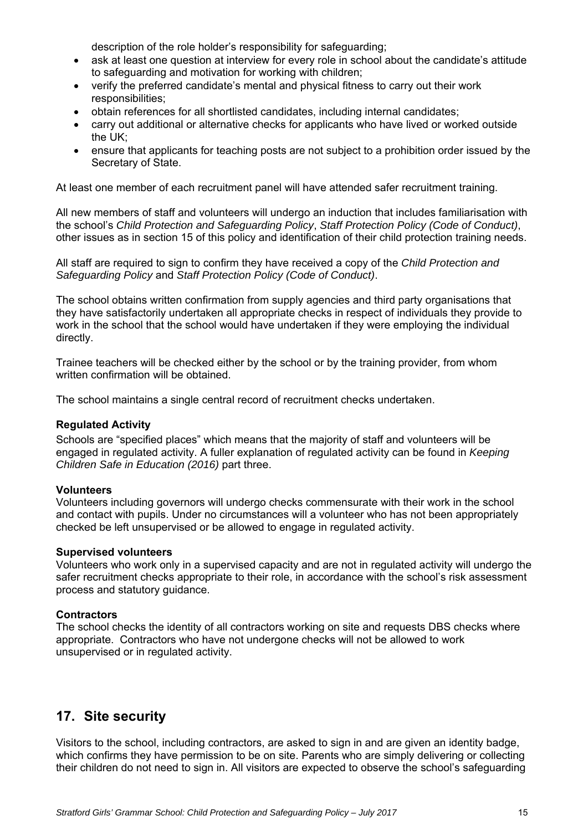description of the role holder's responsibility for safeguarding;

- ask at least one question at interview for every role in school about the candidate's attitude to safeguarding and motivation for working with children;
- verify the preferred candidate's mental and physical fitness to carry out their work responsibilities;
- obtain references for all shortlisted candidates, including internal candidates;
- carry out additional or alternative checks for applicants who have lived or worked outside the UK;
- ensure that applicants for teaching posts are not subject to a prohibition order issued by the Secretary of State.

At least one member of each recruitment panel will have attended safer recruitment training.

All new members of staff and volunteers will undergo an induction that includes familiarisation with the school's *Child Protection and Safeguarding Policy*, *Staff Protection Policy (Code of Conduct)*, other issues as in section 15 of this policy and identification of their child protection training needs.

All staff are required to sign to confirm they have received a copy of the *Child Protection and Safeguarding Policy* and *Staff Protection Policy (Code of Conduct)*.

The school obtains written confirmation from supply agencies and third party organisations that they have satisfactorily undertaken all appropriate checks in respect of individuals they provide to work in the school that the school would have undertaken if they were employing the individual directly.

Trainee teachers will be checked either by the school or by the training provider, from whom written confirmation will be obtained.

The school maintains a single central record of recruitment checks undertaken.

### **Regulated Activity**

Schools are "specified places" which means that the majority of staff and volunteers will be engaged in regulated activity. A fuller explanation of regulated activity can be found in *Keeping Children Safe in Education (2016)* part three.

#### **Volunteers**

Volunteers including governors will undergo checks commensurate with their work in the school and contact with pupils. Under no circumstances will a volunteer who has not been appropriately checked be left unsupervised or be allowed to engage in regulated activity.

#### **Supervised volunteers**

Volunteers who work only in a supervised capacity and are not in regulated activity will undergo the safer recruitment checks appropriate to their role, in accordance with the school's risk assessment process and statutory guidance.

#### **Contractors**

The school checks the identity of all contractors working on site and requests DBS checks where appropriate. Contractors who have not undergone checks will not be allowed to work unsupervised or in regulated activity.

## **17. Site security**

Visitors to the school, including contractors, are asked to sign in and are given an identity badge, which confirms they have permission to be on site. Parents who are simply delivering or collecting their children do not need to sign in. All visitors are expected to observe the school's safeguarding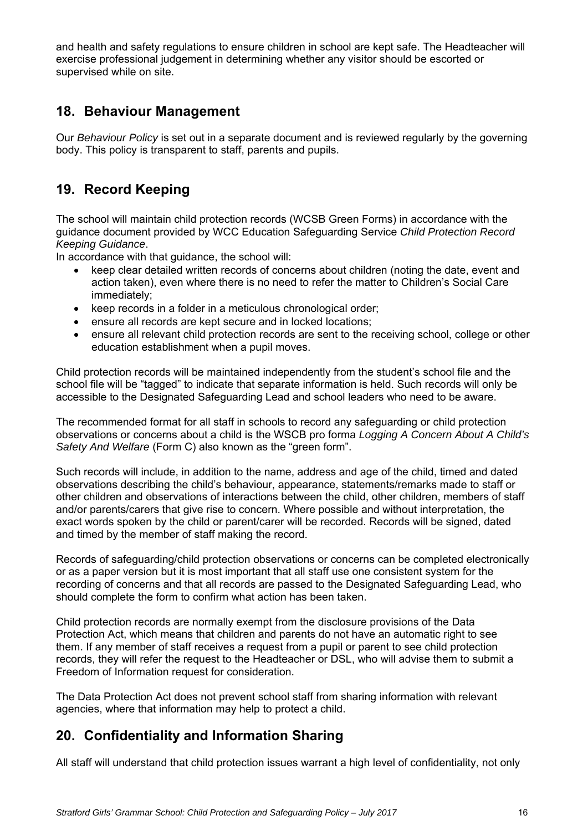and health and safety regulations to ensure children in school are kept safe. The Headteacher will exercise professional judgement in determining whether any visitor should be escorted or supervised while on site.

# **18. Behaviour Management**

Our *Behaviour Policy* is set out in a separate document and is reviewed regularly by the governing body. This policy is transparent to staff, parents and pupils.

# **19. Record Keeping**

The school will maintain child protection records (WCSB Green Forms) in accordance with the guidance document provided by WCC Education Safeguarding Service *Child Protection Record Keeping Guidance*.

In accordance with that guidance, the school will:

- keep clear detailed written records of concerns about children (noting the date, event and action taken), even where there is no need to refer the matter to Children's Social Care immediately;
- keep records in a folder in a meticulous chronological order;
- ensure all records are kept secure and in locked locations;
- ensure all relevant child protection records are sent to the receiving school, college or other education establishment when a pupil moves.

Child protection records will be maintained independently from the student's school file and the school file will be "tagged" to indicate that separate information is held. Such records will only be accessible to the Designated Safeguarding Lead and school leaders who need to be aware.

The recommended format for all staff in schools to record any safeguarding or child protection observations or concerns about a child is the WSCB pro forma *Logging A Concern About A Child's Safety And Welfare* (Form C) also known as the "green form".

Such records will include, in addition to the name, address and age of the child, timed and dated observations describing the child's behaviour, appearance, statements/remarks made to staff or other children and observations of interactions between the child, other children, members of staff and/or parents/carers that give rise to concern. Where possible and without interpretation, the exact words spoken by the child or parent/carer will be recorded. Records will be signed, dated and timed by the member of staff making the record.

Records of safeguarding/child protection observations or concerns can be completed electronically or as a paper version but it is most important that all staff use one consistent system for the recording of concerns and that all records are passed to the Designated Safeguarding Lead, who should complete the form to confirm what action has been taken.

Child protection records are normally exempt from the disclosure provisions of the Data Protection Act, which means that children and parents do not have an automatic right to see them. If any member of staff receives a request from a pupil or parent to see child protection records, they will refer the request to the Headteacher or DSL, who will advise them to submit a Freedom of Information request for consideration.

The Data Protection Act does not prevent school staff from sharing information with relevant agencies, where that information may help to protect a child.

# **20. Confidentiality and Information Sharing**

All staff will understand that child protection issues warrant a high level of confidentiality, not only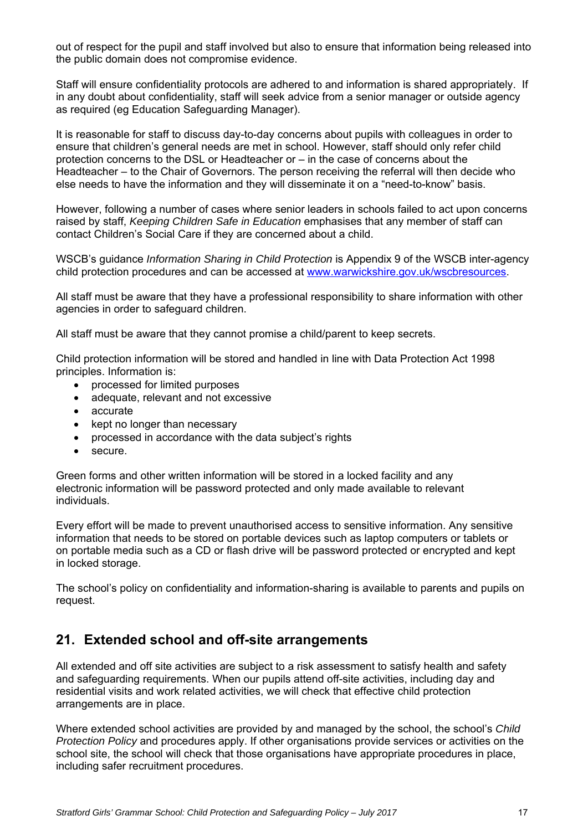out of respect for the pupil and staff involved but also to ensure that information being released into the public domain does not compromise evidence.

Staff will ensure confidentiality protocols are adhered to and information is shared appropriately. If in any doubt about confidentiality, staff will seek advice from a senior manager or outside agency as required (eg Education Safeguarding Manager).

It is reasonable for staff to discuss day-to-day concerns about pupils with colleagues in order to ensure that children's general needs are met in school. However, staff should only refer child protection concerns to the DSL or Headteacher or – in the case of concerns about the Headteacher – to the Chair of Governors. The person receiving the referral will then decide who else needs to have the information and they will disseminate it on a "need-to-know" basis.

However, following a number of cases where senior leaders in schools failed to act upon concerns raised by staff, *Keeping Children Safe in Education* emphasises that any member of staff can contact Children's Social Care if they are concerned about a child.

WSCB's guidance *Information Sharing in Child Protection* is Appendix 9 of the WSCB inter-agency child protection procedures and can be accessed at www.warwickshire.gov.uk/wscbresources.

All staff must be aware that they have a professional responsibility to share information with other agencies in order to safeguard children.

All staff must be aware that they cannot promise a child/parent to keep secrets.

Child protection information will be stored and handled in line with Data Protection Act 1998 principles. Information is:

- processed for limited purposes
- adequate, relevant and not excessive
- accurate
- kept no longer than necessary
- processed in accordance with the data subject's rights
- **•** secure

Green forms and other written information will be stored in a locked facility and any electronic information will be password protected and only made available to relevant individuals.

Every effort will be made to prevent unauthorised access to sensitive information. Any sensitive information that needs to be stored on portable devices such as laptop computers or tablets or on portable media such as a CD or flash drive will be password protected or encrypted and kept in locked storage.

The school's policy on confidentiality and information-sharing is available to parents and pupils on request.

### **21. Extended school and off-site arrangements**

All extended and off site activities are subject to a risk assessment to satisfy health and safety and safeguarding requirements. When our pupils attend off-site activities, including day and residential visits and work related activities, we will check that effective child protection arrangements are in place.

Where extended school activities are provided by and managed by the school, the school's *Child Protection Policy* and procedures apply. If other organisations provide services or activities on the school site, the school will check that those organisations have appropriate procedures in place, including safer recruitment procedures.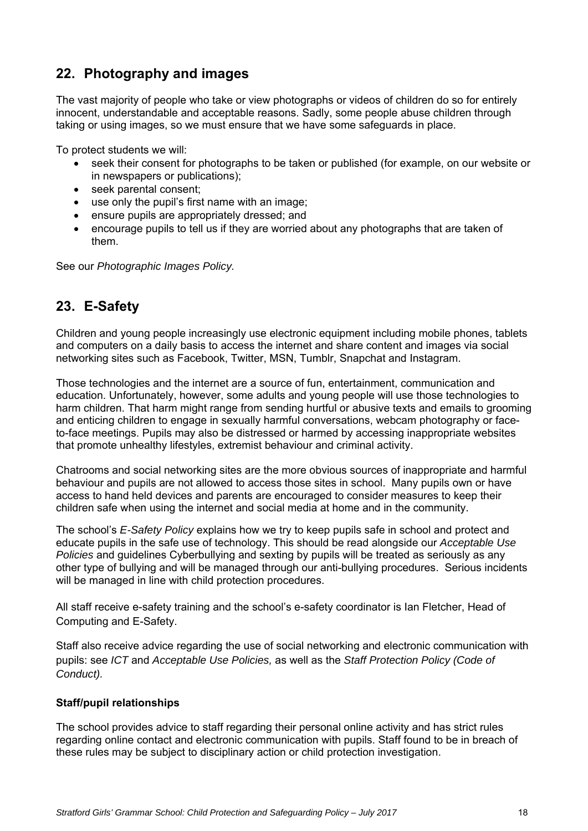# **22. Photography and images**

The vast majority of people who take or view photographs or videos of children do so for entirely innocent, understandable and acceptable reasons. Sadly, some people abuse children through taking or using images, so we must ensure that we have some safeguards in place.

To protect students we will:

- seek their consent for photographs to be taken or published (for example, on our website or in newspapers or publications);
- seek parental consent;
- use only the pupil's first name with an image;
- ensure pupils are appropriately dressed; and
- encourage pupils to tell us if they are worried about any photographs that are taken of them.

See our *Photographic Images Policy.* 

# **23. E-Safety**

Children and young people increasingly use electronic equipment including mobile phones, tablets and computers on a daily basis to access the internet and share content and images via social networking sites such as Facebook, Twitter, MSN, Tumblr, Snapchat and Instagram.

Those technologies and the internet are a source of fun, entertainment, communication and education. Unfortunately, however, some adults and young people will use those technologies to harm children. That harm might range from sending hurtful or abusive texts and emails to grooming and enticing children to engage in sexually harmful conversations, webcam photography or faceto-face meetings. Pupils may also be distressed or harmed by accessing inappropriate websites that promote unhealthy lifestyles, extremist behaviour and criminal activity.

Chatrooms and social networking sites are the more obvious sources of inappropriate and harmful behaviour and pupils are not allowed to access those sites in school. Many pupils own or have access to hand held devices and parents are encouraged to consider measures to keep their children safe when using the internet and social media at home and in the community.

The school's *E-Safety Policy* explains how we try to keep pupils safe in school and protect and educate pupils in the safe use of technology. This should be read alongside our *Acceptable Use Policies* and guidelines Cyberbullying and sexting by pupils will be treated as seriously as any other type of bullying and will be managed through our anti-bullying procedures. Serious incidents will be managed in line with child protection procedures.

All staff receive e-safety training and the school's e-safety coordinator is Ian Fletcher, Head of Computing and E-Safety.

Staff also receive advice regarding the use of social networking and electronic communication with pupils: see *ICT* and *Acceptable Use Policies,* as well as the *Staff Protection Policy (Code of Conduct).* 

### **Staff/pupil relationships**

The school provides advice to staff regarding their personal online activity and has strict rules regarding online contact and electronic communication with pupils. Staff found to be in breach of these rules may be subject to disciplinary action or child protection investigation.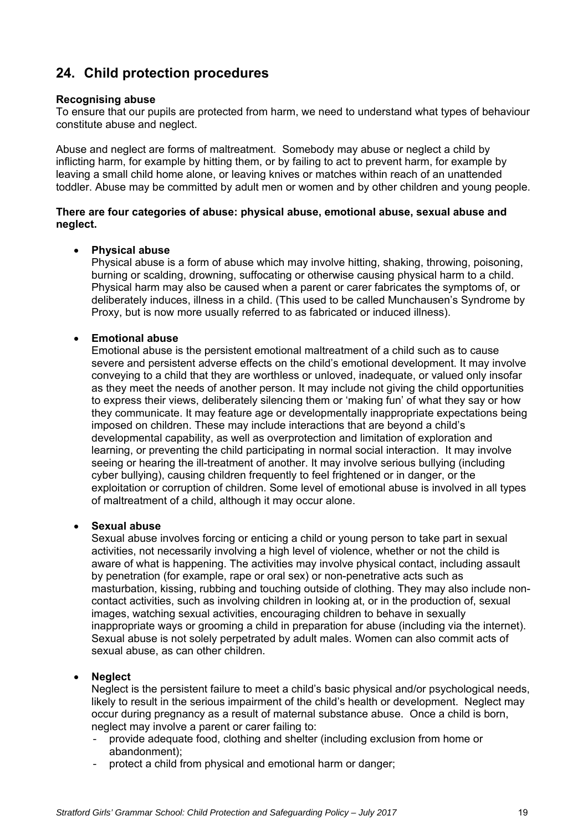# **24. Child protection procedures**

### **Recognising abuse**

To ensure that our pupils are protected from harm, we need to understand what types of behaviour constitute abuse and neglect.

Abuse and neglect are forms of maltreatment. Somebody may abuse or neglect a child by inflicting harm, for example by hitting them, or by failing to act to prevent harm, for example by leaving a small child home alone, or leaving knives or matches within reach of an unattended toddler. Abuse may be committed by adult men or women and by other children and young people.

### **There are four categories of abuse: physical abuse, emotional abuse, sexual abuse and neglect.**

### **Physical abuse**

Physical abuse is a form of abuse which may involve hitting, shaking, throwing, poisoning, burning or scalding, drowning, suffocating or otherwise causing physical harm to a child. Physical harm may also be caused when a parent or carer fabricates the symptoms of, or deliberately induces, illness in a child. (This used to be called Munchausen's Syndrome by Proxy, but is now more usually referred to as fabricated or induced illness).

### **Emotional abuse**

Emotional abuse is the persistent emotional maltreatment of a child such as to cause severe and persistent adverse effects on the child's emotional development. It may involve conveying to a child that they are worthless or unloved, inadequate, or valued only insofar as they meet the needs of another person. It may include not giving the child opportunities to express their views, deliberately silencing them or 'making fun' of what they say or how they communicate. It may feature age or developmentally inappropriate expectations being imposed on children. These may include interactions that are beyond a child's developmental capability, as well as overprotection and limitation of exploration and learning, or preventing the child participating in normal social interaction. It may involve seeing or hearing the ill-treatment of another. It may involve serious bullying (including cyber bullying), causing children frequently to feel frightened or in danger, or the exploitation or corruption of children. Some level of emotional abuse is involved in all types of maltreatment of a child, although it may occur alone.

#### **Sexual abuse**

Sexual abuse involves forcing or enticing a child or young person to take part in sexual activities, not necessarily involving a high level of violence, whether or not the child is aware of what is happening. The activities may involve physical contact, including assault by penetration (for example, rape or oral sex) or non-penetrative acts such as masturbation, kissing, rubbing and touching outside of clothing. They may also include noncontact activities, such as involving children in looking at, or in the production of, sexual images, watching sexual activities, encouraging children to behave in sexually inappropriate ways or grooming a child in preparation for abuse (including via the internet). Sexual abuse is not solely perpetrated by adult males. Women can also commit acts of sexual abuse, as can other children.

### **Neglect**

Neglect is the persistent failure to meet a child's basic physical and/or psychological needs, likely to result in the serious impairment of the child's health or development. Neglect may occur during pregnancy as a result of maternal substance abuse. Once a child is born, neglect may involve a parent or carer failing to:

- provide adequate food, clothing and shelter (including exclusion from home or abandonment);
- protect a child from physical and emotional harm or danger;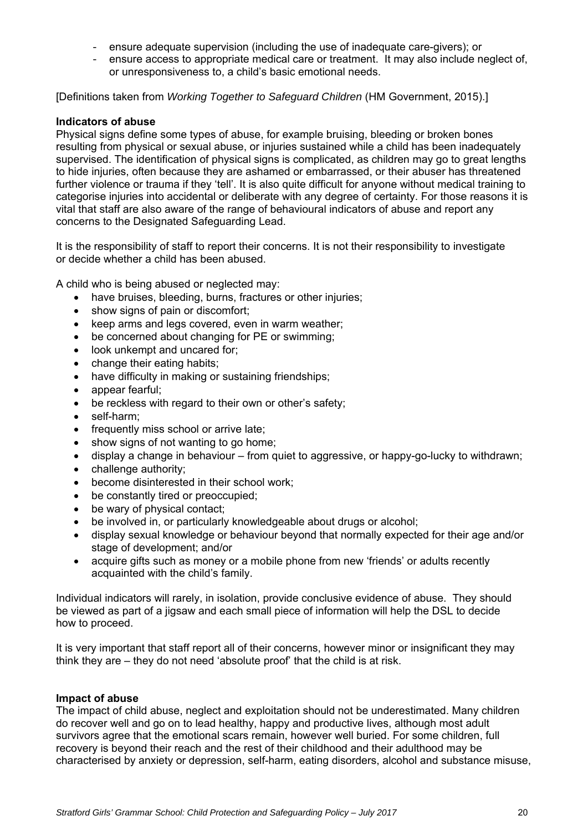- ensure adequate supervision (including the use of inadequate care-givers); or
- ensure access to appropriate medical care or treatment. It may also include neglect of, or unresponsiveness to, a child's basic emotional needs.

[Definitions taken from *Working Together to Safeguard Children* (HM Government, 2015).]

### **Indicators of abuse**

Physical signs define some types of abuse, for example bruising, bleeding or broken bones resulting from physical or sexual abuse, or injuries sustained while a child has been inadequately supervised. The identification of physical signs is complicated, as children may go to great lengths to hide injuries, often because they are ashamed or embarrassed, or their abuser has threatened further violence or trauma if they 'tell'. It is also quite difficult for anyone without medical training to categorise injuries into accidental or deliberate with any degree of certainty. For those reasons it is vital that staff are also aware of the range of behavioural indicators of abuse and report any concerns to the Designated Safeguarding Lead.

It is the responsibility of staff to report their concerns. It is not their responsibility to investigate or decide whether a child has been abused.

A child who is being abused or neglected may:

- have bruises, bleeding, burns, fractures or other injuries;
- show signs of pain or discomfort;
- keep arms and legs covered, even in warm weather;
- be concerned about changing for PE or swimming;
- look unkempt and uncared for;
- change their eating habits;
- have difficulty in making or sustaining friendships;
- appear fearful:
- be reckless with regard to their own or other's safety;
- self-harm;
- frequently miss school or arrive late:
- show signs of not wanting to go home;
- display a change in behaviour from quiet to aggressive, or happy-go-lucky to withdrawn;
- challenge authority;
- become disinterested in their school work:
- be constantly tired or preoccupied;
- be wary of physical contact;
- be involved in, or particularly knowledgeable about drugs or alcohol;
- display sexual knowledge or behaviour beyond that normally expected for their age and/or stage of development; and/or
- acquire gifts such as money or a mobile phone from new 'friends' or adults recently acquainted with the child's family.

Individual indicators will rarely, in isolation, provide conclusive evidence of abuse. They should be viewed as part of a jigsaw and each small piece of information will help the DSL to decide how to proceed.

It is very important that staff report all of their concerns, however minor or insignificant they may think they are – they do not need 'absolute proof' that the child is at risk.

#### **Impact of abuse**

The impact of child abuse, neglect and exploitation should not be underestimated. Many children do recover well and go on to lead healthy, happy and productive lives, although most adult survivors agree that the emotional scars remain, however well buried. For some children, full recovery is beyond their reach and the rest of their childhood and their adulthood may be characterised by anxiety or depression, self-harm, eating disorders, alcohol and substance misuse,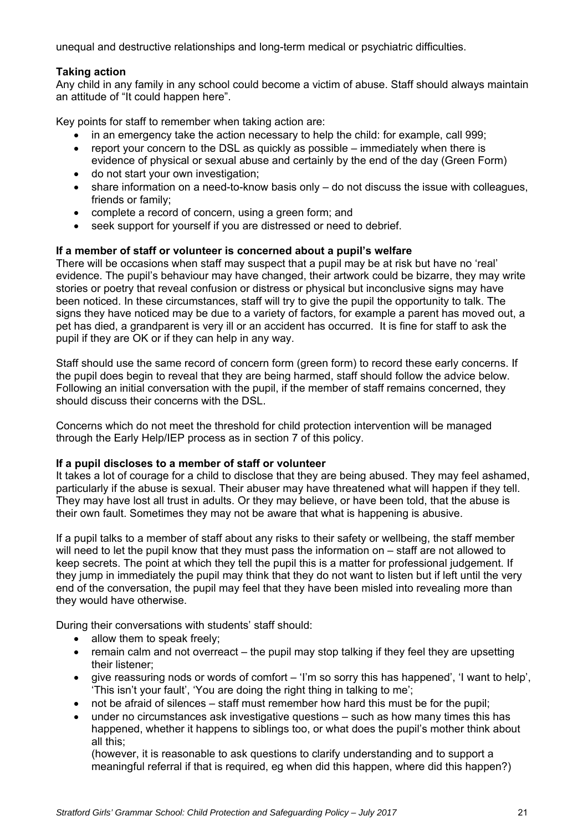unequal and destructive relationships and long-term medical or psychiatric difficulties.

### **Taking action**

Any child in any family in any school could become a victim of abuse. Staff should always maintain an attitude of "It could happen here".

Key points for staff to remember when taking action are:

- in an emergency take the action necessary to help the child: for example, call 999;
- report your concern to the DSL as quickly as possible immediately when there is evidence of physical or sexual abuse and certainly by the end of the day (Green Form)
- do not start your own investigation;
- share information on a need-to-know basis only do not discuss the issue with colleagues, friends or family;
- complete a record of concern, using a green form; and
- seek support for yourself if you are distressed or need to debrief.

### **If a member of staff or volunteer is concerned about a pupil's welfare**

There will be occasions when staff may suspect that a pupil may be at risk but have no 'real' evidence. The pupil's behaviour may have changed, their artwork could be bizarre, they may write stories or poetry that reveal confusion or distress or physical but inconclusive signs may have been noticed. In these circumstances, staff will try to give the pupil the opportunity to talk. The signs they have noticed may be due to a variety of factors, for example a parent has moved out, a pet has died, a grandparent is very ill or an accident has occurred. It is fine for staff to ask the pupil if they are OK or if they can help in any way.

Staff should use the same record of concern form (green form) to record these early concerns. If the pupil does begin to reveal that they are being harmed, staff should follow the advice below. Following an initial conversation with the pupil, if the member of staff remains concerned, they should discuss their concerns with the DSL.

Concerns which do not meet the threshold for child protection intervention will be managed through the Early Help/IEP process as in section 7 of this policy.

#### **If a pupil discloses to a member of staff or volunteer**

It takes a lot of courage for a child to disclose that they are being abused. They may feel ashamed, particularly if the abuse is sexual. Their abuser may have threatened what will happen if they tell. They may have lost all trust in adults. Or they may believe, or have been told, that the abuse is their own fault. Sometimes they may not be aware that what is happening is abusive.

If a pupil talks to a member of staff about any risks to their safety or wellbeing, the staff member will need to let the pupil know that they must pass the information on – staff are not allowed to keep secrets. The point at which they tell the pupil this is a matter for professional judgement. If they jump in immediately the pupil may think that they do not want to listen but if left until the very end of the conversation, the pupil may feel that they have been misled into revealing more than they would have otherwise.

During their conversations with students' staff should:

- allow them to speak freely:
- remain calm and not overreact the pupil may stop talking if they feel they are upsetting their listener;
- give reassuring nods or words of comfort 'I'm so sorry this has happened', 'I want to help', 'This isn't your fault', 'You are doing the right thing in talking to me';
- not be afraid of silences staff must remember how hard this must be for the pupil;
- under no circumstances ask investigative questions such as how many times this has happened, whether it happens to siblings too, or what does the pupil's mother think about all this;

(however, it is reasonable to ask questions to clarify understanding and to support a meaningful referral if that is required, eg when did this happen, where did this happen?)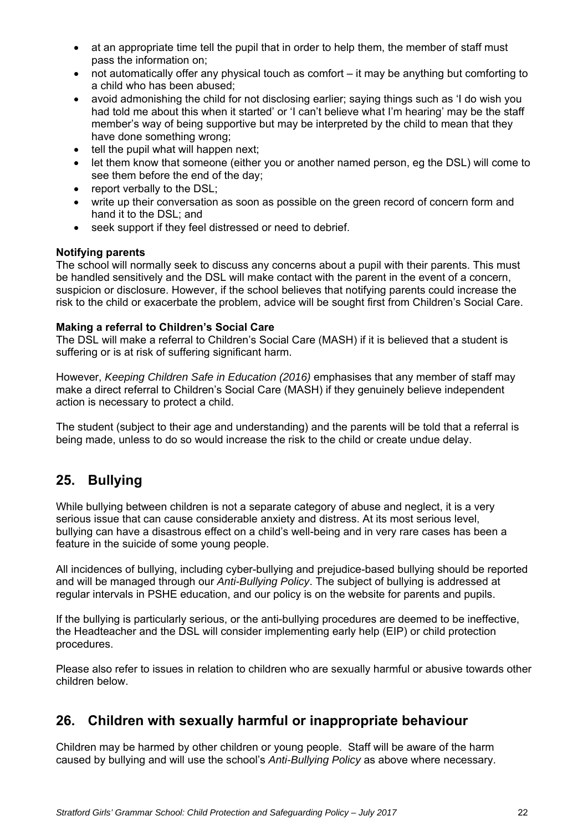- at an appropriate time tell the pupil that in order to help them, the member of staff must pass the information on;
- not automatically offer any physical touch as comfort it may be anything but comforting to a child who has been abused;
- avoid admonishing the child for not disclosing earlier; saying things such as 'I do wish you had told me about this when it started' or 'I can't believe what I'm hearing' may be the staff member's way of being supportive but may be interpreted by the child to mean that they have done something wrong;
- $\bullet$  tell the pupil what will happen next:
- let them know that someone (either you or another named person, eg the DSL) will come to see them before the end of the day;
- report verbally to the DSL;
- write up their conversation as soon as possible on the green record of concern form and hand it to the DSL; and
- seek support if they feel distressed or need to debrief.

### **Notifying parents**

The school will normally seek to discuss any concerns about a pupil with their parents. This must be handled sensitively and the DSL will make contact with the parent in the event of a concern, suspicion or disclosure. However, if the school believes that notifying parents could increase the risk to the child or exacerbate the problem, advice will be sought first from Children's Social Care.

### **Making a referral to Children's Social Care**

The DSL will make a referral to Children's Social Care (MASH) if it is believed that a student is suffering or is at risk of suffering significant harm.

However, *Keeping Children Safe in Education (2016)* emphasises that any member of staff may make a direct referral to Children's Social Care (MASH) if they genuinely believe independent action is necessary to protect a child.

The student (subject to their age and understanding) and the parents will be told that a referral is being made, unless to do so would increase the risk to the child or create undue delay.

# **25. Bullying**

While bullying between children is not a separate category of abuse and neglect, it is a very serious issue that can cause considerable anxiety and distress. At its most serious level, bullying can have a disastrous effect on a child's well-being and in very rare cases has been a feature in the suicide of some young people.

All incidences of bullying, including cyber-bullying and prejudice-based bullying should be reported and will be managed through our *Anti-Bullying Policy*. The subject of bullying is addressed at regular intervals in PSHE education, and our policy is on the website for parents and pupils.

If the bullying is particularly serious, or the anti-bullying procedures are deemed to be ineffective, the Headteacher and the DSL will consider implementing early help (EIP) or child protection procedures.

Please also refer to issues in relation to children who are sexually harmful or abusive towards other children below.

# **26. Children with sexually harmful or inappropriate behaviour**

Children may be harmed by other children or young people. Staff will be aware of the harm caused by bullying and will use the school's *Anti-Bullying Policy* as above where necessary.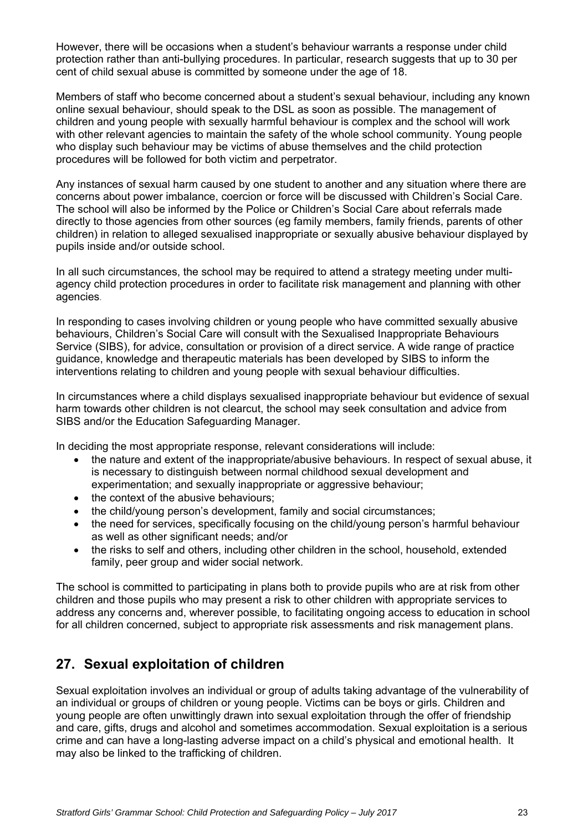However, there will be occasions when a student's behaviour warrants a response under child protection rather than anti-bullying procedures. In particular, research suggests that up to 30 per cent of child sexual abuse is committed by someone under the age of 18.

Members of staff who become concerned about a student's sexual behaviour, including any known online sexual behaviour, should speak to the DSL as soon as possible. The management of children and young people with sexually harmful behaviour is complex and the school will work with other relevant agencies to maintain the safety of the whole school community. Young people who display such behaviour may be victims of abuse themselves and the child protection procedures will be followed for both victim and perpetrator.

Any instances of sexual harm caused by one student to another and any situation where there are concerns about power imbalance, coercion or force will be discussed with Children's Social Care. The school will also be informed by the Police or Children's Social Care about referrals made directly to those agencies from other sources (eg family members, family friends, parents of other children) in relation to alleged sexualised inappropriate or sexually abusive behaviour displayed by pupils inside and/or outside school.

In all such circumstances, the school may be required to attend a strategy meeting under multiagency child protection procedures in order to facilitate risk management and planning with other agencies*.* 

In responding to cases involving children or young people who have committed sexually abusive behaviours, Children's Social Care will consult with the Sexualised Inappropriate Behaviours Service (SIBS), for advice, consultation or provision of a direct service. A wide range of practice guidance, knowledge and therapeutic materials has been developed by SIBS to inform the interventions relating to children and young people with sexual behaviour difficulties.

In circumstances where a child displays sexualised inappropriate behaviour but evidence of sexual harm towards other children is not clearcut, the school may seek consultation and advice from SIBS and/or the Education Safeguarding Manager.

In deciding the most appropriate response, relevant considerations will include:

- the nature and extent of the inappropriate/abusive behaviours. In respect of sexual abuse, it is necessary to distinguish between normal childhood sexual development and experimentation; and sexually inappropriate or aggressive behaviour;
- the context of the abusive behaviours;
- the child/young person's development, family and social circumstances;
- the need for services, specifically focusing on the child/young person's harmful behaviour as well as other significant needs; and/or
- the risks to self and others, including other children in the school, household, extended family, peer group and wider social network.

The school is committed to participating in plans both to provide pupils who are at risk from other children and those pupils who may present a risk to other children with appropriate services to address any concerns and, wherever possible, to facilitating ongoing access to education in school for all children concerned, subject to appropriate risk assessments and risk management plans.

## **27. Sexual exploitation of children**

Sexual exploitation involves an individual or group of adults taking advantage of the vulnerability of an individual or groups of children or young people. Victims can be boys or girls. Children and young people are often unwittingly drawn into sexual exploitation through the offer of friendship and care, gifts, drugs and alcohol and sometimes accommodation. Sexual exploitation is a serious crime and can have a long-lasting adverse impact on a child's physical and emotional health. It may also be linked to the trafficking of children.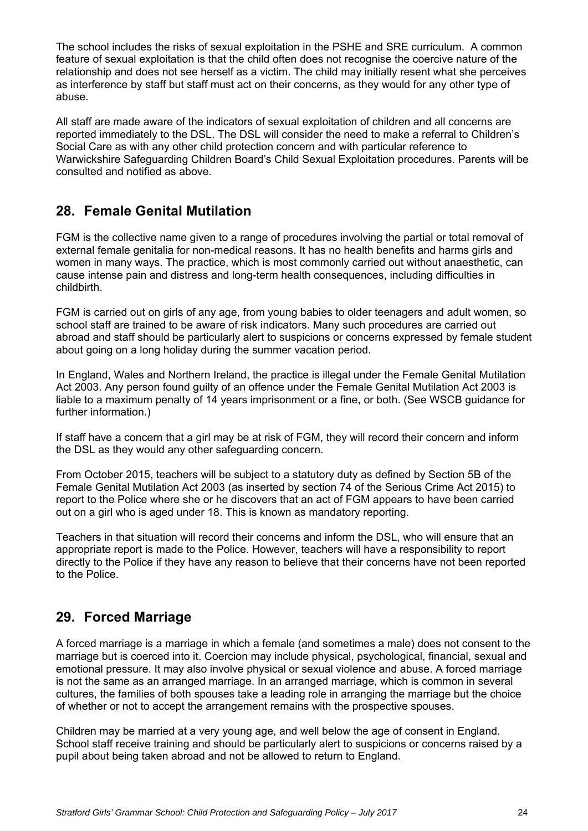The school includes the risks of sexual exploitation in the PSHE and SRE curriculum. A common feature of sexual exploitation is that the child often does not recognise the coercive nature of the relationship and does not see herself as a victim. The child may initially resent what she perceives as interference by staff but staff must act on their concerns, as they would for any other type of abuse.

All staff are made aware of the indicators of sexual exploitation of children and all concerns are reported immediately to the DSL. The DSL will consider the need to make a referral to Children's Social Care as with any other child protection concern and with particular reference to Warwickshire Safeguarding Children Board's Child Sexual Exploitation procedures. Parents will be consulted and notified as above.

# **28. Female Genital Mutilation**

FGM is the collective name given to a range of procedures involving the partial or total removal of external female genitalia for non-medical reasons. It has no health benefits and harms girls and women in many ways. The practice, which is most commonly carried out without anaesthetic, can cause intense pain and distress and long-term health consequences, including difficulties in childbirth.

FGM is carried out on girls of any age, from young babies to older teenagers and adult women, so school staff are trained to be aware of risk indicators. Many such procedures are carried out abroad and staff should be particularly alert to suspicions or concerns expressed by female student about going on a long holiday during the summer vacation period.

In England, Wales and Northern Ireland, the practice is illegal under the Female Genital Mutilation Act 2003. Any person found guilty of an offence under the Female Genital Mutilation Act 2003 is liable to a maximum penalty of 14 years imprisonment or a fine, or both. (See WSCB guidance for further information.)

If staff have a concern that a girl may be at risk of FGM, they will record their concern and inform the DSL as they would any other safeguarding concern.

From October 2015, teachers will be subject to a statutory duty as defined by Section 5B of the Female Genital Mutilation Act 2003 (as inserted by section 74 of the Serious Crime Act 2015) to report to the Police where she or he discovers that an act of FGM appears to have been carried out on a girl who is aged under 18. This is known as mandatory reporting.

Teachers in that situation will record their concerns and inform the DSL, who will ensure that an appropriate report is made to the Police. However, teachers will have a responsibility to report directly to the Police if they have any reason to believe that their concerns have not been reported to the Police.

# **29. Forced Marriage**

A forced marriage is a marriage in which a female (and sometimes a male) does not consent to the marriage but is coerced into it. Coercion may include physical, psychological, financial, sexual and emotional pressure. It may also involve physical or sexual violence and abuse. A forced marriage is not the same as an arranged marriage. In an arranged marriage, which is common in several cultures, the families of both spouses take a leading role in arranging the marriage but the choice of whether or not to accept the arrangement remains with the prospective spouses.

Children may be married at a very young age, and well below the age of consent in England. School staff receive training and should be particularly alert to suspicions or concerns raised by a pupil about being taken abroad and not be allowed to return to England.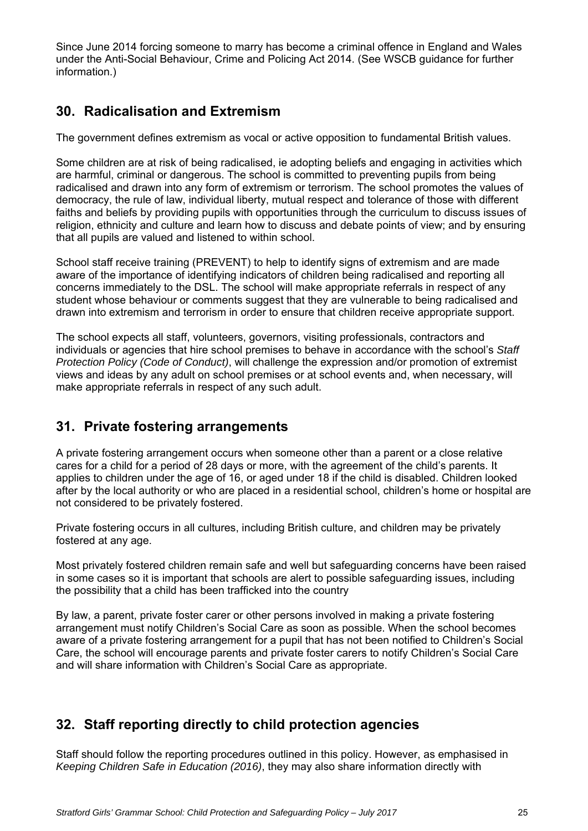Since June 2014 forcing someone to marry has become a criminal offence in England and Wales under the Anti-Social Behaviour, Crime and Policing Act 2014. (See WSCB guidance for further information.)

# **30. Radicalisation and Extremism**

The government defines extremism as vocal or active opposition to fundamental British values.

Some children are at risk of being radicalised, ie adopting beliefs and engaging in activities which are harmful, criminal or dangerous. The school is committed to preventing pupils from being radicalised and drawn into any form of extremism or terrorism. The school promotes the values of democracy, the rule of law, individual liberty, mutual respect and tolerance of those with different faiths and beliefs by providing pupils with opportunities through the curriculum to discuss issues of religion, ethnicity and culture and learn how to discuss and debate points of view; and by ensuring that all pupils are valued and listened to within school.

School staff receive training (PREVENT) to help to identify signs of extremism and are made aware of the importance of identifying indicators of children being radicalised and reporting all concerns immediately to the DSL. The school will make appropriate referrals in respect of any student whose behaviour or comments suggest that they are vulnerable to being radicalised and drawn into extremism and terrorism in order to ensure that children receive appropriate support.

The school expects all staff, volunteers, governors, visiting professionals, contractors and individuals or agencies that hire school premises to behave in accordance with the school's *Staff Protection Policy (Code of Conduct)*, will challenge the expression and/or promotion of extremist views and ideas by any adult on school premises or at school events and, when necessary, will make appropriate referrals in respect of any such adult.

# **31. Private fostering arrangements**

A private fostering arrangement occurs when someone other than a parent or a close relative cares for a child for a period of 28 days or more, with the agreement of the child's parents. It applies to children under the age of 16, or aged under 18 if the child is disabled. Children looked after by the local authority or who are placed in a residential school, children's home or hospital are not considered to be privately fostered.

Private fostering occurs in all cultures, including British culture, and children may be privately fostered at any age.

Most privately fostered children remain safe and well but safeguarding concerns have been raised in some cases so it is important that schools are alert to possible safeguarding issues, including the possibility that a child has been trafficked into the country

By law, a parent, private foster carer or other persons involved in making a private fostering arrangement must notify Children's Social Care as soon as possible. When the school becomes aware of a private fostering arrangement for a pupil that has not been notified to Children's Social Care, the school will encourage parents and private foster carers to notify Children's Social Care and will share information with Children's Social Care as appropriate.

# **32. Staff reporting directly to child protection agencies**

Staff should follow the reporting procedures outlined in this policy. However, as emphasised in *Keeping Children Safe in Education (2016)*, they may also share information directly with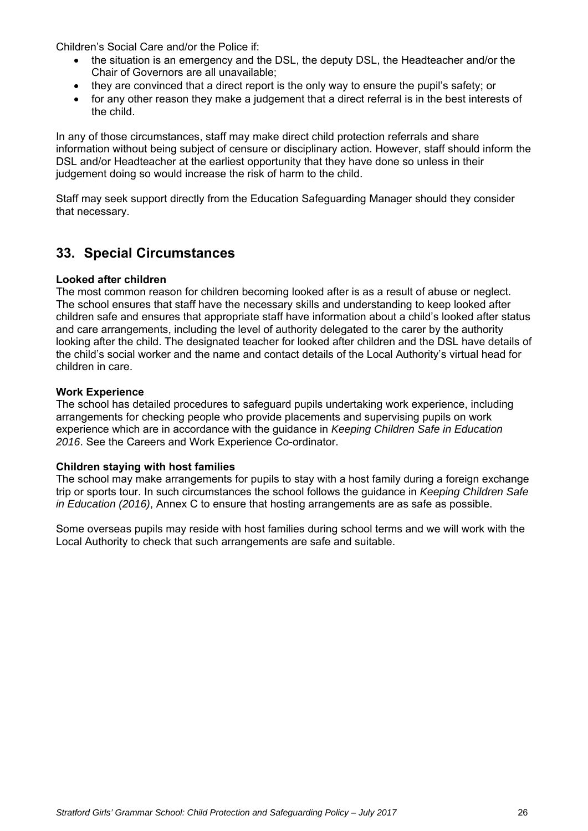Children's Social Care and/or the Police if:

- the situation is an emergency and the DSL, the deputy DSL, the Headteacher and/or the Chair of Governors are all unavailable;
- they are convinced that a direct report is the only way to ensure the pupil's safety; or
- for any other reason they make a judgement that a direct referral is in the best interests of the child.

In any of those circumstances, staff may make direct child protection referrals and share information without being subject of censure or disciplinary action. However, staff should inform the DSL and/or Headteacher at the earliest opportunity that they have done so unless in their judgement doing so would increase the risk of harm to the child.

Staff may seek support directly from the Education Safeguarding Manager should they consider that necessary.

## **33. Special Circumstances**

### **Looked after children**

The most common reason for children becoming looked after is as a result of abuse or neglect. The school ensures that staff have the necessary skills and understanding to keep looked after children safe and ensures that appropriate staff have information about a child's looked after status and care arrangements, including the level of authority delegated to the carer by the authority looking after the child. The designated teacher for looked after children and the DSL have details of the child's social worker and the name and contact details of the Local Authority's virtual head for children in care.

### **Work Experience**

The school has detailed procedures to safeguard pupils undertaking work experience, including arrangements for checking people who provide placements and supervising pupils on work experience which are in accordance with the guidance in *Keeping Children Safe in Education 2016*. See the Careers and Work Experience Co-ordinator.

#### **Children staying with host families**

The school may make arrangements for pupils to stay with a host family during a foreign exchange trip or sports tour. In such circumstances the school follows the guidance in *Keeping Children Safe in Education (2016)*, Annex C to ensure that hosting arrangements are as safe as possible.

Some overseas pupils may reside with host families during school terms and we will work with the Local Authority to check that such arrangements are safe and suitable.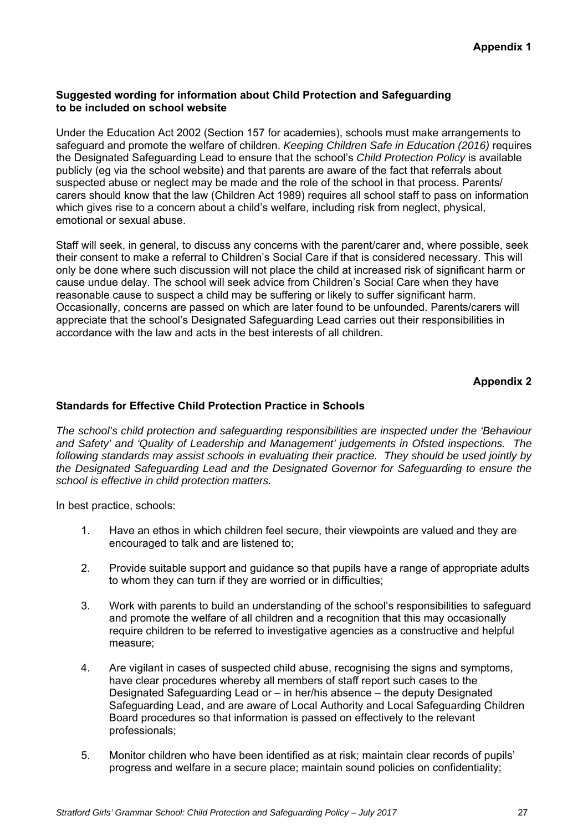### **Suggested wording for information about Child Protection and Safeguarding to be included on school website**

Under the Education Act 2002 (Section 157 for academies), schools must make arrangements to safeguard and promote the welfare of children. *Keeping Children Safe in Education (2016)* requires the Designated Safeguarding Lead to ensure that the school's *Child Protection Policy* is available publicly (eg via the school website) and that parents are aware of the fact that referrals about suspected abuse or neglect may be made and the role of the school in that process. Parents/ carers should know that the law (Children Act 1989) requires all school staff to pass on information which gives rise to a concern about a child's welfare, including risk from neglect, physical, emotional or sexual abuse.

Staff will seek, in general, to discuss any concerns with the parent/carer and, where possible, seek their consent to make a referral to Children's Social Care if that is considered necessary. This will only be done where such discussion will not place the child at increased risk of significant harm or cause undue delay. The school will seek advice from Children's Social Care when they have reasonable cause to suspect a child may be suffering or likely to suffer significant harm. Occasionally, concerns are passed on which are later found to be unfounded. Parents/carers will appreciate that the school's Designated Safeguarding Lead carries out their responsibilities in accordance with the law and acts in the best interests of all children.

### **Appendix 2**

### **Standards for Effective Child Protection Practice in Schools**

*The school's child protection and safeguarding responsibilities are inspected under the 'Behaviour and Safety' and 'Quality of Leadership and Management' judgements in Ofsted inspections. The following standards may assist schools in evaluating their practice. They should be used jointly by the Designated Safeguarding Lead and the Designated Governor for Safeguarding to ensure the school is effective in child protection matters.*

In best practice, schools:

- 1. Have an ethos in which children feel secure, their viewpoints are valued and they are encouraged to talk and are listened to;
- 2. Provide suitable support and guidance so that pupils have a range of appropriate adults to whom they can turn if they are worried or in difficulties;
- 3. Work with parents to build an understanding of the school's responsibilities to safeguard and promote the welfare of all children and a recognition that this may occasionally require children to be referred to investigative agencies as a constructive and helpful measure;
- 4. Are vigilant in cases of suspected child abuse, recognising the signs and symptoms, have clear procedures whereby all members of staff report such cases to the Designated Safeguarding Lead or – in her/his absence – the deputy Designated Safeguarding Lead, and are aware of Local Authority and Local Safeguarding Children Board procedures so that information is passed on effectively to the relevant professionals;
- 5. Monitor children who have been identified as at risk; maintain clear records of pupils' progress and welfare in a secure place; maintain sound policies on confidentiality;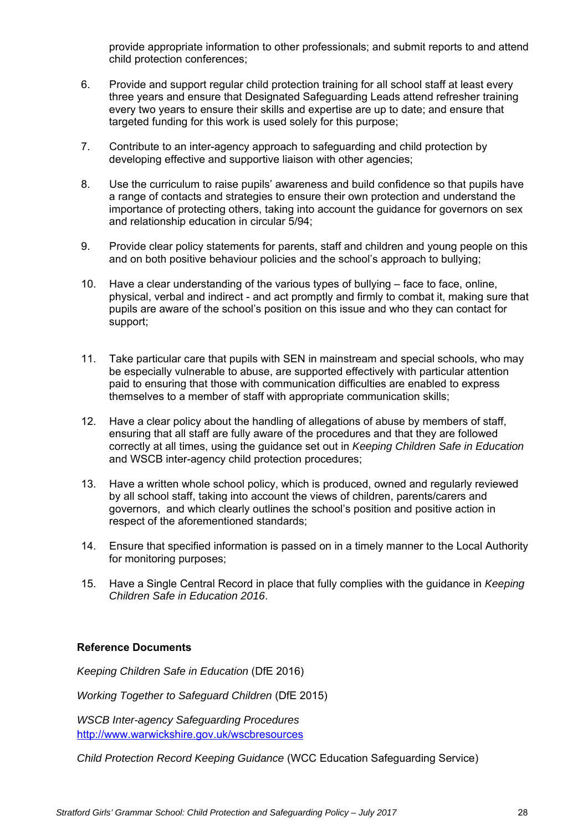provide appropriate information to other professionals; and submit reports to and attend child protection conferences;

- 6. Provide and support regular child protection training for all school staff at least every three years and ensure that Designated Safeguarding Leads attend refresher training every two years to ensure their skills and expertise are up to date; and ensure that targeted funding for this work is used solely for this purpose;
- 7. Contribute to an inter-agency approach to safeguarding and child protection by developing effective and supportive liaison with other agencies;
- 8. Use the curriculum to raise pupils' awareness and build confidence so that pupils have a range of contacts and strategies to ensure their own protection and understand the importance of protecting others, taking into account the guidance for governors on sex and relationship education in circular 5/94;
- 9. Provide clear policy statements for parents, staff and children and young people on this and on both positive behaviour policies and the school's approach to bullying;
- 10. Have a clear understanding of the various types of bullying face to face, online, physical, verbal and indirect - and act promptly and firmly to combat it, making sure that pupils are aware of the school's position on this issue and who they can contact for support;
- 11. Take particular care that pupils with SEN in mainstream and special schools, who may be especially vulnerable to abuse, are supported effectively with particular attention paid to ensuring that those with communication difficulties are enabled to express themselves to a member of staff with appropriate communication skills;
- 12. Have a clear policy about the handling of allegations of abuse by members of staff, ensuring that all staff are fully aware of the procedures and that they are followed correctly at all times, using the guidance set out in *Keeping Children Safe in Education* and WSCB inter-agency child protection procedures;
- 13. Have a written whole school policy, which is produced, owned and regularly reviewed by all school staff, taking into account the views of children, parents/carers and governors, and which clearly outlines the school's position and positive action in respect of the aforementioned standards;
- 14. Ensure that specified information is passed on in a timely manner to the Local Authority for monitoring purposes;
- 15. Have a Single Central Record in place that fully complies with the guidance in *Keeping Children Safe in Education 2016*.

### **Reference Documents**

*Keeping Children Safe in Education* (DfE 2016)

*Working Together to Safeguard Children* (DfE 2015)

*WSCB Inter-agency Safeguarding Procedures* http://www.warwickshire.gov.uk/wscbresources

*Child Protection Record Keeping Guidance* (WCC Education Safeguarding Service)